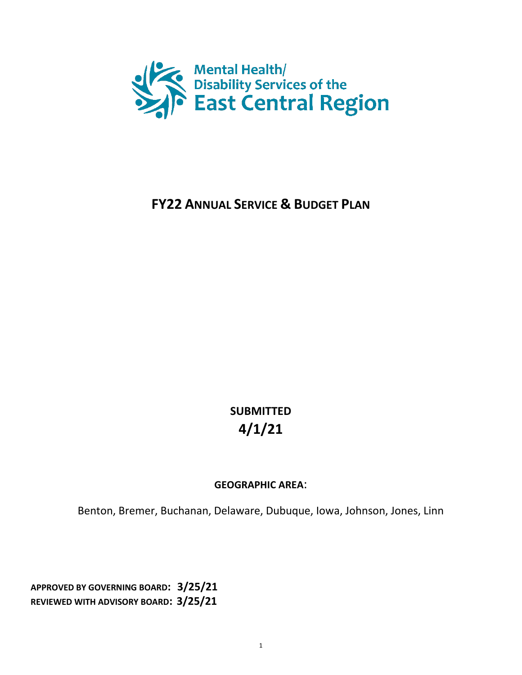

# **FY22 ANNUAL SERVICE & BUDGET PLAN**

**SUBMITTED 4/1/21**

### **GEOGRAPHIC AREA**:

Benton, Bremer, Buchanan, Delaware, Dubuque, Iowa, Johnson, Jones, Linn

**APPROVED BY GOVERNING BOARD: 3/25/21 REVIEWED WITH ADVISORY BOARD: 3/25/21**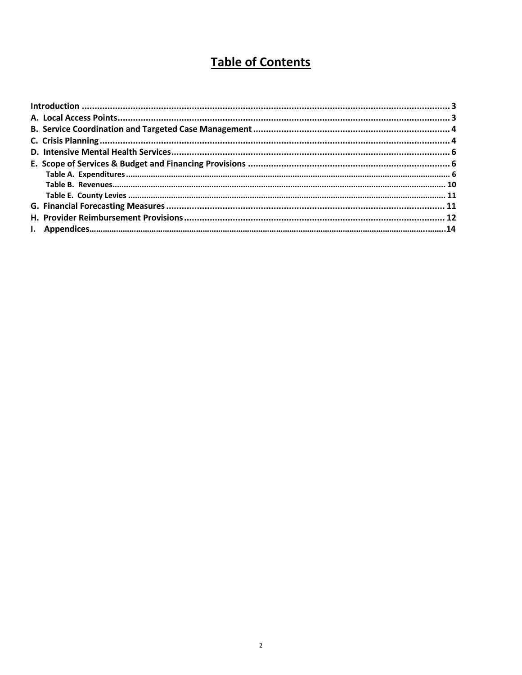# **Table of Contents**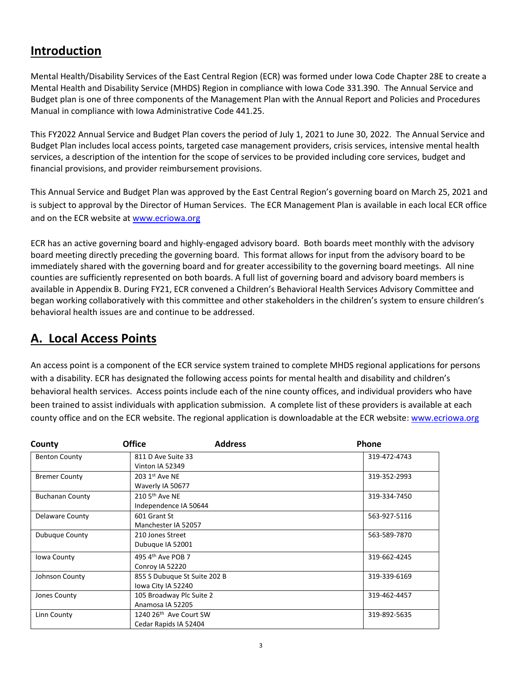## <span id="page-2-0"></span>**Introduction**

Mental Health/Disability Services of the East Central Region (ECR) was formed under Iowa Code Chapter 28E to create a Mental Health and Disability Service (MHDS) Region in compliance with Iowa Code 331.390. The Annual Service and Budget plan is one of three components of the Management Plan with the Annual Report and Policies and Procedures Manual in compliance with Iowa Administrative Code 441.25.

This FY2022 Annual Service and Budget Plan covers the period of July 1, 2021 to June 30, 2022. The Annual Service and Budget Plan includes local access points, targeted case management providers, crisis services, intensive mental health services, a description of the intention for the scope of services to be provided including core services, budget and financial provisions, and provider reimbursement provisions.

This Annual Service and Budget Plan was approved by the East Central Region's governing board on March 25, 2021 and is subject to approval by the Director of Human Services. The ECR Management Plan is available in each local ECR office and on the ECR website a[t www.ecriowa.org](http://www.ecriowa.org/)

ECR has an active governing board and highly-engaged advisory board. Both boards meet monthly with the advisory board meeting directly preceding the governing board. This format allows for input from the advisory board to be immediately shared with the governing board and for greater accessibility to the governing board meetings. All nine counties are sufficiently represented on both boards. A full list of governing board and advisory board members is available in Appendix B. During FY21, ECR convened a Children's Behavioral Health Services Advisory Committee and began working collaboratively with this committee and other stakeholders in the children's system to ensure children's behavioral health issues are and continue to be addressed.

## <span id="page-2-1"></span>**A. Local Access Points**

An access point is a component of the ECR service system trained to complete MHDS regional applications for persons with a disability. ECR has designated the following access points for mental health and disability and children's behavioral health services. Access points include each of the nine county offices, and individual providers who have been trained to assist individuals with application submission. A complete list of these providers is available at each county office and on the ECR website. The regional application is downloadable at the ECR website[: www.ecriowa.org](http://www.ecriowa.org/)

| County                 | <b>Office</b><br><b>Address</b>                             | <b>Phone</b> |
|------------------------|-------------------------------------------------------------|--------------|
| <b>Benton County</b>   | 811 D Ave Suite 33<br>Vinton IA 52349                       | 319-472-4743 |
| <b>Bremer County</b>   | 203 1st Ave NE<br>Waverly IA 50677                          | 319-352-2993 |
| <b>Buchanan County</b> | 210 $5th$ Ave NE<br>Independence IA 50644                   | 319-334-7450 |
| <b>Delaware County</b> | 601 Grant St<br>Manchester IA 52057                         | 563-927-5116 |
| Dubuque County         | 210 Jones Street<br>Dubuque IA 52001                        | 563-589-7870 |
| Iowa County            | 495 $4th$ Ave POB 7<br>Conroy IA 52220                      | 319-662-4245 |
| Johnson County         | 855 S Dubuque St Suite 202 B<br>lowa City IA 52240          | 319-339-6169 |
| Jones County           | 105 Broadway Plc Suite 2<br>Anamosa IA 52205                | 319-462-4457 |
| Linn County            | 1240 26 <sup>th</sup> Ave Court SW<br>Cedar Rapids IA 52404 | 319-892-5635 |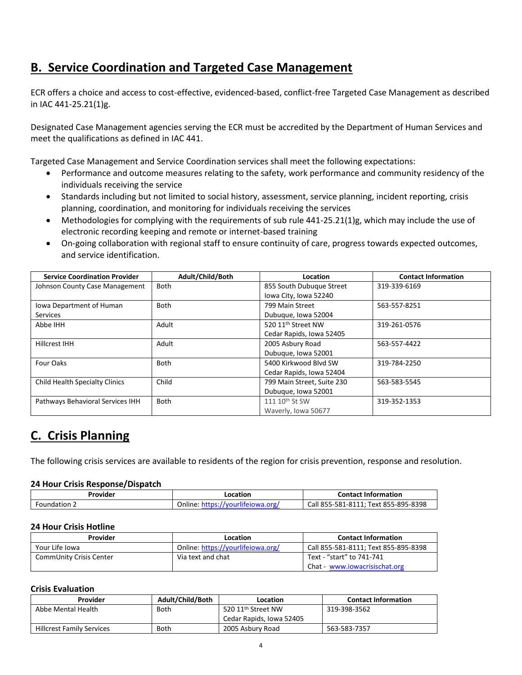## <span id="page-3-0"></span>**B. Service Coordination and Targeted Case Management**

ECR offers a choice and access to cost-effective, evidenced-based, conflict-free Targeted Case Management as described in IAC 441-25.21(1)g.

Designated Case Management agencies serving the ECR must be accredited by the Department of Human Services and meet the qualifications as defined in IAC 441.

Targeted Case Management and Service Coordination services shall meet the following expectations:

- Performance and outcome measures relating to the safety, work performance and community residency of the individuals receiving the service
- Standards including but not limited to social history, assessment, service planning, incident reporting, crisis planning, coordination, and monitoring for individuals receiving the services
- Methodologies for complying with the requirements of sub rule 441-25.21(1)g, which may include the use of electronic recording keeping and remote or internet-based training
- On-going collaboration with regional staff to ensure continuity of care, progress towards expected outcomes, and service identification.

| <b>Service Coordination Provider</b>  | Adult/Child/Both | Location                       | <b>Contact Information</b> |
|---------------------------------------|------------------|--------------------------------|----------------------------|
| Johnson County Case Management        | <b>Both</b>      | 855 South Dubuque Street       | 319-339-6169               |
|                                       |                  | Iowa City, Iowa 52240          |                            |
| Iowa Department of Human              | <b>Both</b>      | 799 Main Street                | 563-557-8251               |
| <b>Services</b>                       |                  | Dubuque, Iowa 52004            |                            |
| Abbe IHH                              | Adult            | 520 11 <sup>th</sup> Street NW | 319-261-0576               |
|                                       |                  | Cedar Rapids, Iowa 52405       |                            |
| <b>Hillcrest IHH</b>                  | Adult            | 2005 Asbury Road               | 563-557-4422               |
|                                       |                  | Dubuque, Iowa 52001            |                            |
| Four Oaks                             | <b>Both</b>      | 5400 Kirkwood Blyd SW          | 319-784-2250               |
|                                       |                  | Cedar Rapids, Iowa 52404       |                            |
| <b>Child Health Specialty Clinics</b> | Child            | 799 Main Street, Suite 230     | 563-583-5545               |
|                                       |                  | Dubuque, Iowa 52001            |                            |
| Pathways Behavioral Services IHH      | Both             | 111 10 <sup>th</sup> St SW     | 319-352-1353               |
|                                       |                  | Waverly, Iowa 50677            |                            |

## <span id="page-3-1"></span>**C. Crisis Planning**

The following crisis services are available to residents of the region for crisis prevention, response and resolution.

#### **24 Hour Crisis Response/Dispatch**

| Provider     | Location                                   | <b>Contact Information</b>           |
|--------------|--------------------------------------------|--------------------------------------|
| Foundation . | Online:<br>tejowa org<br>ttnc<br>$\mu$ nir | Call 855-581-8111; Text 855-895-8398 |

#### **24 Hour Crisis Hotline**

| Provider                | Location                          | <b>Contact Information</b>           |
|-------------------------|-----------------------------------|--------------------------------------|
| Your Life Iowa          | Online: https://yourlifeiowa.org/ | Call 855-581-8111; Text 855-895-8398 |
| CommUnity Crisis Center | Via text and chat                 | Text - "start" to 741-741            |
|                         |                                   | Chat - www.iowacrisischat.org        |

#### **Crisis Evaluation**

| Provider                         | Adult/Child/Both | Location                       | <b>Contact Information</b> |
|----------------------------------|------------------|--------------------------------|----------------------------|
| Abbe Mental Health               | <b>Both</b>      | 520 11 <sup>th</sup> Street NW | 319-398-3562               |
|                                  |                  | Cedar Rapids, Iowa 52405       |                            |
| <b>Hillcrest Family Services</b> | <b>Both</b>      | 2005 Asbury Road               | 563-583-7357               |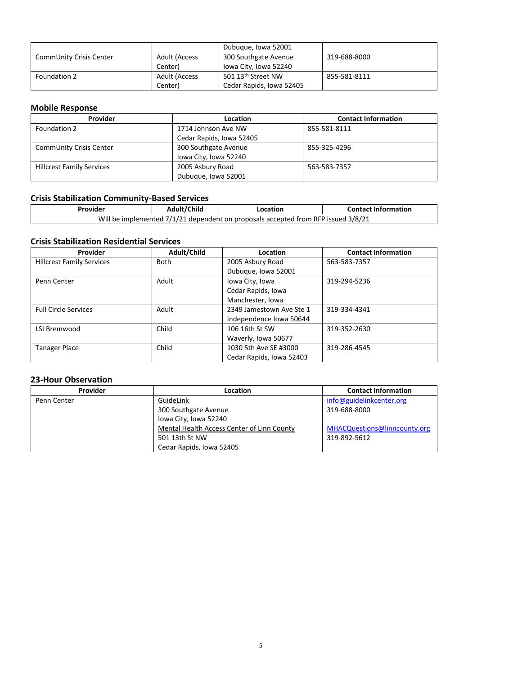|                         |                      | Dubugue, Iowa 52001            |              |
|-------------------------|----------------------|--------------------------------|--------------|
| CommUnity Crisis Center | <b>Adult (Access</b> | 300 Southgate Avenue           | 319-688-8000 |
|                         | Center)              | lowa City, Iowa 52240          |              |
| Foundation 2            | <b>Adult (Access</b> | 501 13 <sup>th</sup> Street NW | 855-581-8111 |
|                         | Center)              | Cedar Rapids, Iowa 52405       |              |

#### **Mobile Response**

| Provider                         | Location                 | <b>Contact Information</b> |
|----------------------------------|--------------------------|----------------------------|
| Foundation 2                     | 1714 Johnson Ave NW      | 855-581-8111               |
|                                  | Cedar Rapids, Iowa 52405 |                            |
| CommUnity Crisis Center          | 300 Southgate Avenue     | 855-325-4296               |
|                                  | Iowa City, Iowa 52240    |                            |
| <b>Hillcrest Family Services</b> | 2005 Asbury Road         | 563-583-7357               |
|                                  | Dubuque, Iowa 52001      |                            |

### **Crisis Stabilization Community-Based Services**

| Provider                                                                          | Adult/Child | Location | <b>Contact Information</b> |
|-----------------------------------------------------------------------------------|-------------|----------|----------------------------|
| Will be implemented 7/1/21 dependent on proposals accepted from RFP issued 3/8/21 |             |          |                            |

#### **Crisis Stabilization Residential Services**

| Provider                         | Adult/Child | Location                 | <b>Contact Information</b> |
|----------------------------------|-------------|--------------------------|----------------------------|
| <b>Hillcrest Family Services</b> | <b>Both</b> | 2005 Asbury Road         | 563-583-7357               |
|                                  |             | Dubuque, Iowa 52001      |                            |
| Penn Center                      | Adult       | Iowa City, Iowa          | 319-294-5236               |
|                                  |             | Cedar Rapids, Iowa       |                            |
|                                  |             | Manchester, Iowa         |                            |
| <b>Full Circle Services</b>      | Adult       | 2349 Jamestown Ave Ste 1 | 319-334-4341               |
|                                  |             | Independence Iowa 50644  |                            |
| LSI Bremwood                     | Child       | 106 16th St SW           | 319-352-2630               |
|                                  |             | Waverly, Iowa 50677      |                            |
| <b>Tanager Place</b>             | Child       | 1030 5th Ave SE #3000    | 319-286-4545               |
|                                  |             | Cedar Rapids, Iowa 52403 |                            |

#### **23-Hour Observation**

| Provider    | Location                                   | <b>Contact Information</b>   |
|-------------|--------------------------------------------|------------------------------|
| Penn Center | GuideLink                                  | info@guidelinkcenter.org     |
|             | 300 Southgate Avenue                       | 319-688-8000                 |
|             | Iowa City, Iowa 52240                      |                              |
|             | Mental Health Access Center of Linn County | MHACQuestions@linncounty.org |
|             | 501 13th St NW                             | 319-892-5612                 |
|             | Cedar Rapids, Iowa 52405                   |                              |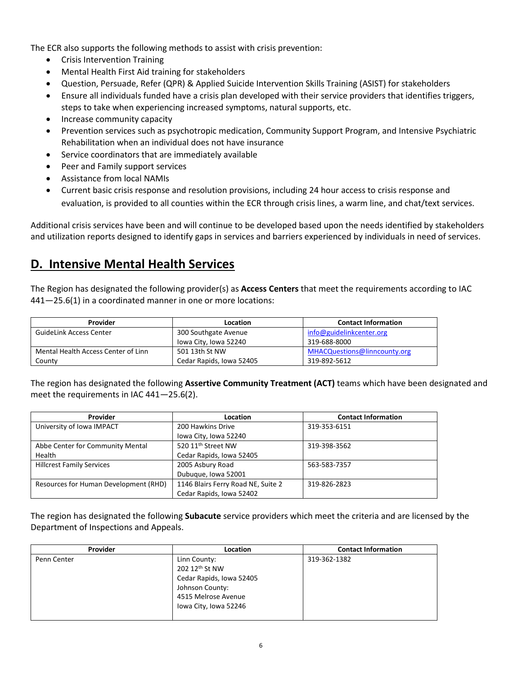<span id="page-5-0"></span>The ECR also supports the following methods to assist with crisis prevention:

- Crisis Intervention Training
- Mental Health First Aid training for stakeholders
- Question, Persuade, Refer (QPR) & Applied Suicide Intervention Skills Training (ASIST) for stakeholders
- Ensure all individuals funded have a crisis plan developed with their service providers that identifies triggers, steps to take when experiencing increased symptoms, natural supports, etc.
- Increase community capacity
- Prevention services such as psychotropic medication, Community Support Program, and Intensive Psychiatric Rehabilitation when an individual does not have insurance
- Service coordinators that are immediately available
- Peer and Family support services
- Assistance from local NAMIs
- Current basic crisis response and resolution provisions, including 24 hour access to crisis response and evaluation, is provided to all counties within the ECR through crisis lines, a warm line, and chat/text services.

Additional crisis services have been and will continue to be developed based upon the needs identified by stakeholders and utilization reports designed to identify gaps in services and barriers experienced by individuals in need of services.

### **D. Intensive Mental Health Services**

The Region has designated the following provider(s) as **Access Centers** that meet the requirements according to IAC 441—25.6(1) in a coordinated manner in one or more locations:

| Provider                            | Location                 | <b>Contact Information</b>   |
|-------------------------------------|--------------------------|------------------------------|
| <b>GuideLink Access Center</b>      | 300 Southgate Avenue     | info@guidelinkcenter.org     |
|                                     | lowa City, Iowa 52240    | 319-688-8000                 |
| Mental Health Access Center of Linn | 501 13th St NW           | MHACQuestions@linncounty.org |
| County                              | Cedar Rapids, Iowa 52405 | 319-892-5612                 |

The region has designated the following **Assertive Community Treatment (ACT)** teams which have been designated and meet the requirements in IAC 441—25.6(2).

| Provider                              | Location                           | <b>Contact Information</b> |
|---------------------------------------|------------------------------------|----------------------------|
| University of Iowa IMPACT             | 200 Hawkins Drive                  | 319-353-6151               |
|                                       | Iowa City, Iowa 52240              |                            |
| Abbe Center for Community Mental      | 520 11 <sup>th</sup> Street NW     | 319-398-3562               |
| Health                                | Cedar Rapids, Iowa 52405           |                            |
| <b>Hillcrest Family Services</b>      | 2005 Asbury Road                   | 563-583-7357               |
|                                       | Dubuque, Iowa 52001                |                            |
| Resources for Human Development (RHD) | 1146 Blairs Ferry Road NE, Suite 2 | 319-826-2823               |
|                                       | Cedar Rapids, Iowa 52402           |                            |

The region has designated the following **Subacute** service providers which meet the criteria and are licensed by the Department of Inspections and Appeals.

| Provider    | <b>Location</b>                                                                                                               | <b>Contact Information</b> |
|-------------|-------------------------------------------------------------------------------------------------------------------------------|----------------------------|
| Penn Center | Linn County:<br>202 12th St NW<br>Cedar Rapids, Iowa 52405<br>Johnson County:<br>4515 Melrose Avenue<br>lowa City, Iowa 52246 | 319-362-1382               |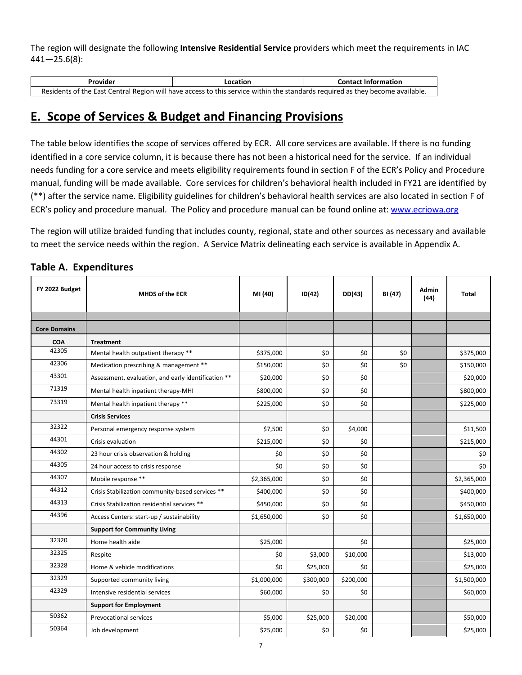The region will designate the following **Intensive Residential Service** providers which meet the requirements in IAC 441—25.6(8):

| Provider                                                                                                                      | Location | <b>Contact Information</b> |  |  |  |  |
|-------------------------------------------------------------------------------------------------------------------------------|----------|----------------------------|--|--|--|--|
| Residents of the East Central Region will have access to this service within the standards required as they become available. |          |                            |  |  |  |  |

## <span id="page-6-0"></span>**E. Scope of Services & Budget and Financing Provisions**

The table below identifies the scope of services offered by ECR. All core services are available. If there is no funding identified in a core service column, it is because there has not been a historical need for the service. If an individual needs funding for a core service and meets eligibility requirements found in section F of the ECR's Policy and Procedure manual, funding will be made available. Core services for children's behavioral health included in FY21 are identified by (\*\*) after the service name. Eligibility guidelines for children's behavioral health services are also located in section F of ECR's policy and procedure manual. The Policy and procedure manual can be found online at: [www.ecriowa.org](http://www.ecriowa.org/)

<span id="page-6-1"></span>The region will utilize braided funding that includes county, regional, state and other sources as necessary and available to meet the service needs within the region. A Service Matrix delineating each service is available in Appendix A.

| FY 2022 Budget      | <b>MHDS of the ECR</b>                              | MI (40)     | ID(42)    | DD(43)    | BI (47) | <b>Admin</b><br>(44) | Total       |
|---------------------|-----------------------------------------------------|-------------|-----------|-----------|---------|----------------------|-------------|
| <b>Core Domains</b> |                                                     |             |           |           |         |                      |             |
| <b>COA</b>          | <b>Treatment</b>                                    |             |           |           |         |                      |             |
| 42305               | Mental health outpatient therapy **                 | \$375,000   | \$0       | \$0       | \$0     |                      | \$375,000   |
| 42306               | Medication prescribing & management **              | \$150,000   | \$0       | \$0       | \$0     |                      | \$150,000   |
| 43301               | Assessment, evaluation, and early identification ** | \$20,000    | \$0       | \$0       |         |                      | \$20,000    |
| 71319               | Mental health inpatient therapy-MHI                 | \$800,000   | \$0       | \$0       |         |                      | \$800,000   |
| 73319               | Mental health inpatient therapy **                  | \$225,000   | \$0       | \$0       |         |                      | \$225,000   |
|                     | <b>Crisis Services</b>                              |             |           |           |         |                      |             |
| 32322               | Personal emergency response system                  | \$7,500     | \$0       | \$4,000   |         |                      | \$11,500    |
| 44301               | Crisis evaluation                                   | \$215,000   | \$0       | \$0       |         |                      | \$215,000   |
| 44302               | 23 hour crisis observation & holding                | \$0         | \$0       | \$0       |         |                      | \$0         |
| 44305               | 24 hour access to crisis response                   | \$0         | \$0       | \$0       |         |                      | \$0         |
| 44307               | Mobile response **                                  | \$2,365,000 | \$0       | \$0       |         |                      | \$2,365,000 |
| 44312               | Crisis Stabilization community-based services **    | \$400,000   | \$0       | \$0       |         |                      | \$400,000   |
| 44313               | Crisis Stabilization residential services **        | \$450,000   | \$0       | \$0       |         |                      | \$450,000   |
| 44396               | Access Centers: start-up / sustainability           | \$1,650,000 | \$0       | \$0       |         |                      | \$1,650,000 |
|                     | <b>Support for Community Living</b>                 |             |           |           |         |                      |             |
| 32320               | Home health aide                                    | \$25,000    |           | \$0       |         |                      | \$25,000    |
| 32325               | Respite                                             | \$0         | \$3,000   | \$10,000  |         |                      | \$13,000    |
| 32328               | Home & vehicle modifications                        | \$0         | \$25,000  | \$0       |         |                      | \$25,000    |
| 32329               | Supported community living                          | \$1,000,000 | \$300,000 | \$200,000 |         |                      | \$1,500,000 |
| 42329               | Intensive residential services                      | \$60,000    | \$0       | \$0       |         |                      | \$60,000    |
|                     | <b>Support for Employment</b>                       |             |           |           |         |                      |             |
| 50362               | Prevocational services                              | \$5,000     | \$25,000  | \$20,000  |         |                      | \$50,000    |
| 50364               | Job development                                     | \$25,000    | \$0       | \$0       |         |                      | \$25,000    |

#### **Table A. Expenditures**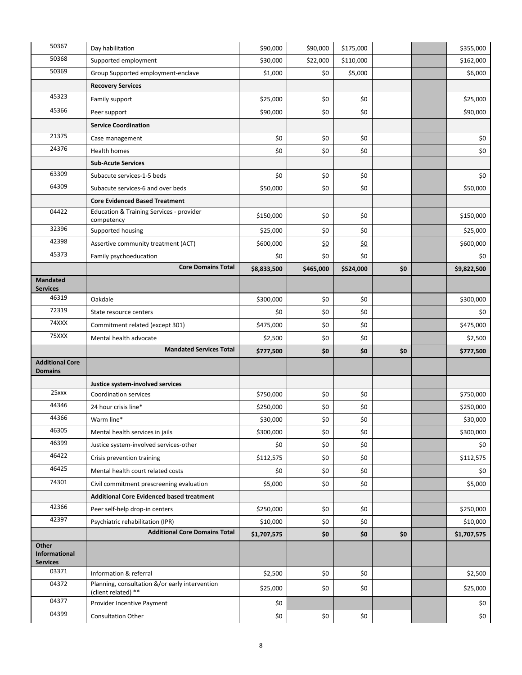| 50367                                     | Day habilitation                                                      | \$90,000    | \$90,000  | \$175,000  |     | \$355,000   |
|-------------------------------------------|-----------------------------------------------------------------------|-------------|-----------|------------|-----|-------------|
| 50368                                     | Supported employment                                                  | \$30,000    | \$22,000  | \$110,000  |     | \$162,000   |
| 50369                                     | Group Supported employment-enclave                                    | \$1,000     | \$0       | \$5,000    |     | \$6,000     |
|                                           | <b>Recovery Services</b>                                              |             |           |            |     |             |
| 45323                                     | Family support                                                        | \$25,000    | \$0       | \$0        |     | \$25,000    |
| 45366                                     | Peer support                                                          | \$90,000    | \$0       | \$0        |     | \$90,000    |
|                                           | <b>Service Coordination</b>                                           |             |           |            |     |             |
| 21375                                     | Case management                                                       | \$0         | \$0       | \$0        |     | \$0         |
| 24376                                     | Health homes                                                          | \$0         | \$0       | \$0        |     | \$0         |
|                                           | <b>Sub-Acute Services</b>                                             |             |           |            |     |             |
| 63309                                     | Subacute services-1-5 beds                                            | \$0         | \$0       | \$0        |     | \$0         |
| 64309                                     | Subacute services-6 and over beds                                     | \$50,000    | \$0       | \$0        |     | \$50,000    |
|                                           | <b>Core Evidenced Based Treatment</b>                                 |             |           |            |     |             |
| 04422                                     | Education & Training Services - provider<br>competency                | \$150,000   | \$0       | \$0        |     | \$150,000   |
| 32396                                     | Supported housing                                                     | \$25,000    | \$0       | \$0        |     | \$25,000    |
| 42398                                     | Assertive community treatment (ACT)                                   | \$600,000   | \$0       | <u>\$0</u> |     | \$600,000   |
| 45373                                     | Family psychoeducation                                                | \$0         | \$0       | \$0        |     | \$0         |
|                                           | <b>Core Domains Total</b>                                             | \$8,833,500 | \$465,000 | \$524,000  | \$0 | \$9,822,500 |
| <b>Mandated</b>                           |                                                                       |             |           |            |     |             |
| <b>Services</b><br>46319                  | Oakdale                                                               | \$300,000   | \$0       | \$0        |     | \$300,000   |
| 72319                                     | State resource centers                                                | \$0         | \$0       | \$0        |     | \$0         |
| 74XXX                                     | Commitment related (except 301)                                       | \$475,000   | \$0       | \$0        |     | \$475,000   |
| 75XXX                                     | Mental health advocate                                                | \$2,500     | \$0       | \$0        |     | \$2,500     |
|                                           | <b>Mandated Services Total</b>                                        |             | \$0       |            | \$0 |             |
| <b>Additional Core</b>                    |                                                                       | \$777,500   |           | \$0        |     | \$777,500   |
| <b>Domains</b>                            |                                                                       |             |           |            |     |             |
|                                           | Justice system-involved services                                      |             |           |            |     |             |
| 25xxx                                     | <b>Coordination services</b>                                          | \$750,000   | \$0       | \$0        |     | \$750,000   |
| 44346                                     | 24 hour crisis line*                                                  | \$250,000   | \$0       | \$0        |     | \$250,000   |
| 44366                                     | Warm line*                                                            | \$30,000    | \$0       | \$0        |     | \$30,000    |
| 46305                                     | Mental health services in jails                                       | \$300,000   | \$0       | \$0        |     | \$300,000   |
| 46399                                     | Justice system-involved services-other                                | \$0         | \$0       | \$0        |     | \$0         |
| 46422                                     | Crisis prevention training                                            | \$112,575   | \$0       | \$0        |     | \$112,575   |
| 46425                                     | Mental health court related costs                                     | \$0         | \$0       | \$0        |     | \$0         |
| 74301                                     | Civil commitment prescreening evaluation                              | \$5,000     | \$0       | \$0        |     | \$5,000     |
|                                           | <b>Additional Core Evidenced based treatment</b>                      |             |           |            |     |             |
| 42366                                     | Peer self-help drop-in centers                                        | \$250,000   | \$0       | \$0        |     | \$250,000   |
| 42397                                     | Psychiatric rehabilitation (IPR)                                      | \$10,000    | \$0       | \$0        |     | \$10,000    |
|                                           | <b>Additional Core Domains Total</b>                                  | \$1,707,575 | \$0       | \$0        | \$0 | \$1,707,575 |
|                                           |                                                                       |             |           |            |     |             |
| Other<br>Informational<br><b>Services</b> |                                                                       |             |           |            |     |             |
| 03371                                     | Information & referral                                                | \$2,500     | \$0       | \$0        |     | \$2,500     |
| 04372                                     | Planning, consultation &/or early intervention<br>(client related) ** | \$25,000    | \$0       | \$0        |     | \$25,000    |
| 04377                                     | Provider Incentive Payment                                            | \$0         |           |            |     | \$0         |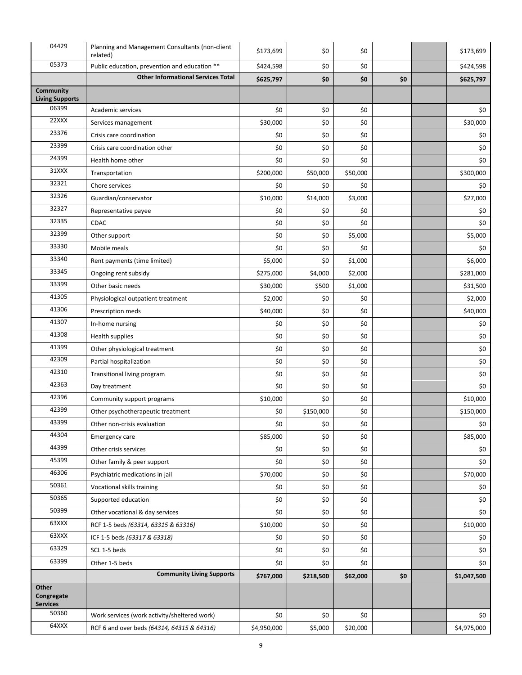| 04429                           | Planning and Management Consultants (non-client<br>related) | \$173,699   | \$0        | \$0      |           | \$173,699   |
|---------------------------------|-------------------------------------------------------------|-------------|------------|----------|-----------|-------------|
| 05373                           | Public education, prevention and education **               | \$424,598   | \$0<br>\$0 |          | \$424,598 |             |
|                                 | <b>Other Informational Services Total</b>                   | \$625,797   | \$0        | \$0      | \$0       | \$625,797   |
| Community                       |                                                             |             |            |          |           |             |
| <b>Living Supports</b><br>06399 | Academic services                                           | \$0         | \$0        | \$0      |           | \$0         |
| 22XXX                           | Services management                                         | \$30,000    | \$0        | \$0      |           | \$30,000    |
| 23376                           | Crisis care coordination                                    | \$0         | \$0        | \$0      |           | \$0         |
| 23399                           | Crisis care coordination other                              | \$0         | \$0        | \$0      |           | \$0         |
| 24399                           | Health home other                                           | \$0         | \$0        | \$0      |           | \$0         |
| 31XXX                           | Transportation                                              | \$200,000   | \$50,000   | \$50,000 |           | \$300,000   |
| 32321                           | Chore services                                              | \$0         | \$0        | \$0      |           | \$0         |
| 32326                           | Guardian/conservator                                        | \$10,000    | \$14,000   | \$3,000  |           | \$27,000    |
| 32327                           | Representative payee                                        | \$0         | \$0        | \$0      |           | \$0         |
| 32335                           | CDAC                                                        | \$0         | \$0        | \$0      |           | \$0         |
| 32399                           |                                                             | \$0         | \$0        |          |           |             |
| 33330                           | Other support                                               |             |            | \$5,000  |           | \$5,000     |
| 33340                           | Mobile meals                                                | \$0         | \$0        | \$0      |           | \$0         |
| 33345                           | Rent payments (time limited)                                | \$5,000     | \$0        | \$1,000  |           | \$6,000     |
| 33399                           | Ongoing rent subsidy                                        | \$275,000   | \$4,000    | \$2,000  |           | \$281,000   |
| 41305                           | Other basic needs                                           | \$30,000    | \$500      | \$1,000  |           | \$31,500    |
| 41306                           | Physiological outpatient treatment                          | \$2,000     | \$0        | \$0      |           | \$2,000     |
| 41307                           | Prescription meds                                           | \$40,000    | \$0        | \$0      |           | \$40,000    |
| 41308                           | In-home nursing                                             | \$0         | \$0        | \$0      |           | \$0         |
| 41399                           | Health supplies                                             | \$0         | \$0        | \$0      |           | \$0         |
| 42309                           | Other physiological treatment                               | \$0         | \$0        | \$0      |           | \$0         |
|                                 | Partial hospitalization                                     | \$0         | \$0        | \$0      |           | \$0         |
| 42310                           | Transitional living program                                 | \$0         | \$0        | \$0      |           | \$0         |
| 42363                           | Day treatment                                               | \$0         | \$0        | \$0      |           | \$0         |
| 42396                           | Community support programs                                  | \$10,000    | \$0        | \$0      |           | \$10,000    |
| 42399                           | Other psychotherapeutic treatment                           | \$0         | \$150,000  | \$0      |           | \$150,000   |
| 43399                           | Other non-crisis evaluation                                 | $$0$$       | \$0        | \$0      |           | \$0         |
| 44304                           | <b>Emergency care</b>                                       | \$85,000    | \$0        | \$0      |           | \$85,000    |
| 44399                           | Other crisis services                                       | \$0         | \$0        | \$0      |           | \$0         |
| 45399                           | Other family & peer support                                 | \$0         | \$0        | \$0      |           | \$0         |
| 46306                           | Psychiatric medications in jail                             | \$70,000    | \$0        | \$0      |           | \$70,000    |
| 50361                           | Vocational skills training                                  | \$0         | \$0        | \$0      |           | \$0         |
| 50365                           | Supported education                                         | \$0         | \$0        | \$0      |           | \$0         |
| 50399                           | Other vocational & day services                             | \$0         | \$0        | \$0      |           | \$0         |
| 63XXX                           | RCF 1-5 beds (63314, 63315 & 63316)                         | \$10,000    | \$0        | \$0      |           | \$10,000    |
| 63XXX                           | ICF 1-5 beds (63317 & 63318)                                | \$0         | \$0        | \$0      |           | \$0         |
| 63329                           | SCL 1-5 beds                                                | \$0         | \$0        | \$0      |           | \$0         |
| 63399                           | Other 1-5 beds                                              | \$0         | \$0        | \$0      |           | \$0         |
|                                 | <b>Community Living Supports</b>                            | \$767,000   | \$218,500  | \$62,000 | \$0       | \$1,047,500 |
| Other<br>Congregate<br>Services |                                                             |             |            |          |           |             |
| 50360                           | Work services (work activity/sheltered work)                | \$0         | \$0        | \$0      |           | \$0         |
| 64XXX                           | RCF 6 and over beds (64314, 64315 & 64316)                  | \$4,950,000 | \$5,000    | \$20,000 |           | \$4,975,000 |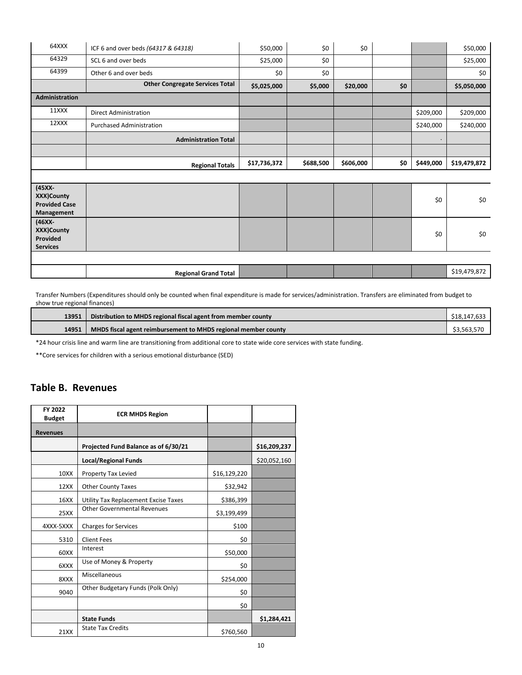| 64XXX                                                         | ICF 6 and over beds (64317 & 64318)    | \$50,000     | \$0       | \$0       |     |           | \$50,000     |
|---------------------------------------------------------------|----------------------------------------|--------------|-----------|-----------|-----|-----------|--------------|
| 64329                                                         | SCL 6 and over beds                    | \$25,000     | \$0       |           |     |           | \$25,000     |
| 64399                                                         | Other 6 and over beds                  | \$0          | \$0       |           |     |           | \$0          |
|                                                               | <b>Other Congregate Services Total</b> | \$5,025,000  | \$5,000   | \$20,000  | \$0 |           | \$5,050,000  |
| Administration                                                |                                        |              |           |           |     |           |              |
| 11XXX                                                         | <b>Direct Administration</b>           |              |           |           |     | \$209,000 | \$209,000    |
| 12XXX                                                         | <b>Purchased Administration</b>        |              |           |           |     | \$240,000 | \$240,000    |
|                                                               | <b>Administration Total</b>            |              |           |           |     | $\bullet$ |              |
|                                                               |                                        |              |           |           |     |           |              |
|                                                               |                                        |              |           |           |     |           |              |
|                                                               | <b>Regional Totals</b>                 | \$17,736,372 | \$688,500 | \$606,000 | \$0 | \$449,000 | \$19,479,872 |
|                                                               |                                        |              |           |           |     |           |              |
| $(45XX -$<br>XXX)County<br><b>Provided Case</b><br>Management |                                        |              |           |           |     | \$0       | \$0          |
| $(46XX -$<br>XXX)County<br>Provided<br><b>Services</b>        |                                        |              |           |           |     | \$0       | \$0          |
|                                                               |                                        |              |           |           |     |           |              |

Transfer Numbers (Expenditures should only be counted when final expenditure is made for services/administration. Transfers are eliminated from budget to show true regional finances)

| 13951 | Distribution to MHDS regional fiscal agent from member county  | \$18.147.633 |
|-------|----------------------------------------------------------------|--------------|
| 14951 | MHDS fiscal agent reimbursement to MHDS regional member county | \$3.563.570  |

\*24 hour crisis line and warm line are transitioning from additional core to state wide core services with state funding.

<span id="page-9-0"></span>\*\*Core services for children with a serious emotional disturbance (SED)

#### **Table B. Revenues**

| FY 2022<br><b>Budget</b> | <b>ECR MHDS Region</b>               |              |              |
|--------------------------|--------------------------------------|--------------|--------------|
| <b>Revenues</b>          |                                      |              |              |
|                          | Projected Fund Balance as of 6/30/21 |              | \$16,209,237 |
|                          | <b>Local/Regional Funds</b>          |              | \$20,052,160 |
| 10XX                     | Property Tax Levied                  | \$16,129,220 |              |
| 12XX                     | <b>Other County Taxes</b>            | \$32,942     |              |
| 16XX                     | Utility Tax Replacement Excise Taxes | \$386,399    |              |
| <b>25XX</b>              | <b>Other Governmental Revenues</b>   | \$3,199,499  |              |
| 4XXX-5XXX                | <b>Charges for Services</b>          | \$100        |              |
| 5310                     | <b>Client Fees</b>                   | \$0          |              |
| 60XX                     | Interest                             | \$50,000     |              |
| 6XXX                     | Use of Money & Property              | \$0          |              |
| 8XXX                     | Miscellaneous                        | \$254,000    |              |
| 9040                     | Other Budgetary Funds (Polk Only)    | \$0          |              |
|                          |                                      | \$0          |              |
|                          | <b>State Funds</b>                   |              | \$1,284,421  |
| 21XX                     | <b>State Tax Credits</b>             | \$760,560    |              |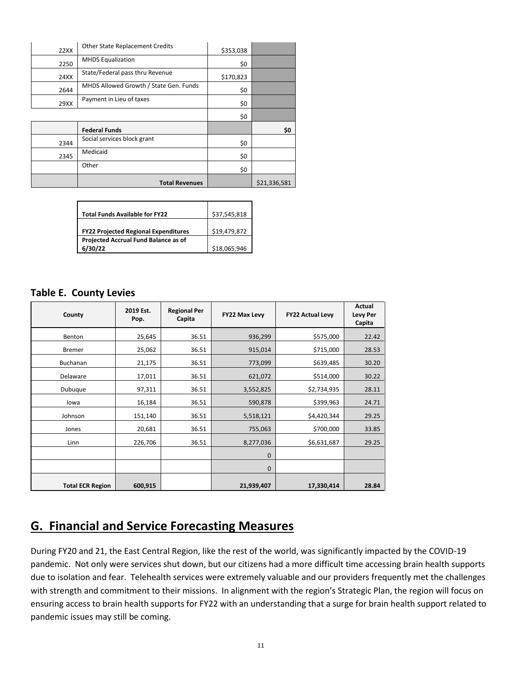| 22XX | <b>Other State Replacement Credits</b> | \$353,038 |              |
|------|----------------------------------------|-----------|--------------|
| 2250 | <b>MHDS Equalization</b>               | \$0       |              |
| 24XX | State/Federal pass thru Revenue        | \$170,823 |              |
| 2644 | MHDS Allowed Growth / State Gen. Funds | \$0       |              |
| 29XX | Payment in Lieu of taxes               | \$0       |              |
|      |                                        | \$0       |              |
|      | <b>Federal Funds</b>                   |           | \$0          |
| 2344 | Social services block grant            | \$0       |              |
| 2345 | Medicaid                               | \$0       |              |
|      | Other                                  | \$0       |              |
|      | <b>Total Revenues</b>                  |           | \$21,336,581 |

| <b>Total Funds Available for FY22</b>       | \$37,545,818 |
|---------------------------------------------|--------------|
|                                             |              |
|                                             |              |
| <b>FY22 Projected Regional Expenditures</b> | \$19,479,872 |
| Projected Accrual Fund Balance as of        |              |
| 6/30/22                                     | \$18,065,946 |

#### <span id="page-10-0"></span>**Table E. County Levies**

<span id="page-10-1"></span>

| County                  | 2019 Est.<br>Pop. | <b>Regional Per</b><br>Capita | FY22 Max Levy | <b>FY22 Actual Levy</b> | Actual<br><b>Levy Per</b><br>Capita |
|-------------------------|-------------------|-------------------------------|---------------|-------------------------|-------------------------------------|
| Benton                  | 25,645            | 36.51                         | 936,299       | \$575,000               | 22.42                               |
| <b>Bremer</b>           | 25,062            | 36.51                         | 915,014       | \$715,000               | 28.53                               |
| Buchanan                | 21,175            | 36.51                         | 773,099       | \$639,485               | 30.20                               |
| Delaware                | 17,011            | 36.51                         | 621,072       | \$514,000               | 30.22                               |
| Dubuque                 | 97,311            | 36.51                         | 3,552,825     | \$2,734,935             | 28.11                               |
| lowa                    | 16,184            | 36.51                         | 590,878       | \$399,963               | 24.71                               |
| Johnson                 | 151,140           | 36.51                         | 5,518,121     | \$4,420,344             | 29.25                               |
| Jones                   | 20,681            | 36.51                         | 755,063       | \$700,000               | 33.85                               |
| Linn                    | 226,706           | 36.51                         | 8,277,036     | \$6,631,687             | 29.25                               |
|                         |                   |                               | $\mathbf 0$   |                         |                                     |
|                         |                   |                               | $\mathbf 0$   |                         |                                     |
| <b>Total ECR Region</b> | 600,915           |                               | 21,939,407    | 17,330,414              | 28.84                               |

### **G. Financial and Service Forecasting Measures**

During FY20 and 21, the East Central Region, like the rest of the world, was significantly impacted by the COVID-19 pandemic. Not only were services shut down, but our citizens had a more difficult time accessing brain health supports due to isolation and fear. Telehealth services were extremely valuable and our providers frequently met the challenges with strength and commitment to their missions. In alignment with the region's Strategic Plan, the region will focus on ensuring access to brain health supports for FY22 with an understanding that a surge for brain health support related to pandemic issues may still be coming.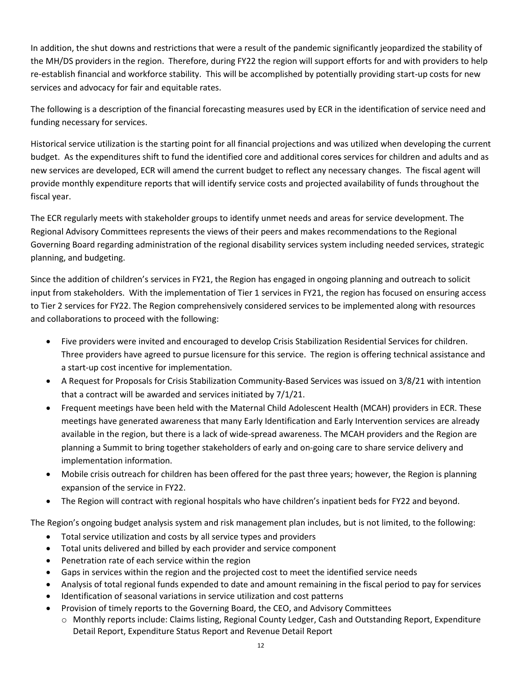In addition, the shut downs and restrictions that were a result of the pandemic significantly jeopardized the stability of the MH/DS providers in the region. Therefore, during FY22 the region will support efforts for and with providers to help re-establish financial and workforce stability. This will be accomplished by potentially providing start-up costs for new services and advocacy for fair and equitable rates.

The following is a description of the financial forecasting measures used by ECR in the identification of service need and funding necessary for services.

Historical service utilization is the starting point for all financial projections and was utilized when developing the current budget. As the expenditures shift to fund the identified core and additional cores services for children and adults and as new services are developed, ECR will amend the current budget to reflect any necessary changes. The fiscal agent will provide monthly expenditure reports that will identify service costs and projected availability of funds throughout the fiscal year.

The ECR regularly meets with stakeholder groups to identify unmet needs and areas for service development. The Regional Advisory Committees represents the views of their peers and makes recommendations to the Regional Governing Board regarding administration of the regional disability services system including needed services, strategic planning, and budgeting.

Since the addition of children's services in FY21, the Region has engaged in ongoing planning and outreach to solicit input from stakeholders. With the implementation of Tier 1 services in FY21, the region has focused on ensuring access to Tier 2 services for FY22. The Region comprehensively considered services to be implemented along with resources and collaborations to proceed with the following:

- Five providers were invited and encouraged to develop Crisis Stabilization Residential Services for children. Three providers have agreed to pursue licensure for this service. The region is offering technical assistance and a start-up cost incentive for implementation.
- A Request for Proposals for Crisis Stabilization Community-Based Services was issued on 3/8/21 with intention that a contract will be awarded and services initiated by 7/1/21.
- Frequent meetings have been held with the Maternal Child Adolescent Health (MCAH) providers in ECR. These meetings have generated awareness that many Early Identification and Early Intervention services are already available in the region, but there is a lack of wide-spread awareness. The MCAH providers and the Region are planning a Summit to bring together stakeholders of early and on-going care to share service delivery and implementation information.
- Mobile crisis outreach for children has been offered for the past three years; however, the Region is planning expansion of the service in FY22.
- The Region will contract with regional hospitals who have children's inpatient beds for FY22 and beyond.

The Region's ongoing budget analysis system and risk management plan includes, but is not limited, to the following:

- Total service utilization and costs by all service types and providers
- Total units delivered and billed by each provider and service component
- Penetration rate of each service within the region
- Gaps in services within the region and the projected cost to meet the identified service needs
- Analysis of total regional funds expended to date and amount remaining in the fiscal period to pay for services
- Identification of seasonal variations in service utilization and cost patterns
- Provision of timely reports to the Governing Board, the CEO, and Advisory Committees
	- o Monthly reports include: Claims listing, Regional County Ledger, Cash and Outstanding Report, Expenditure Detail Report, Expenditure Status Report and Revenue Detail Report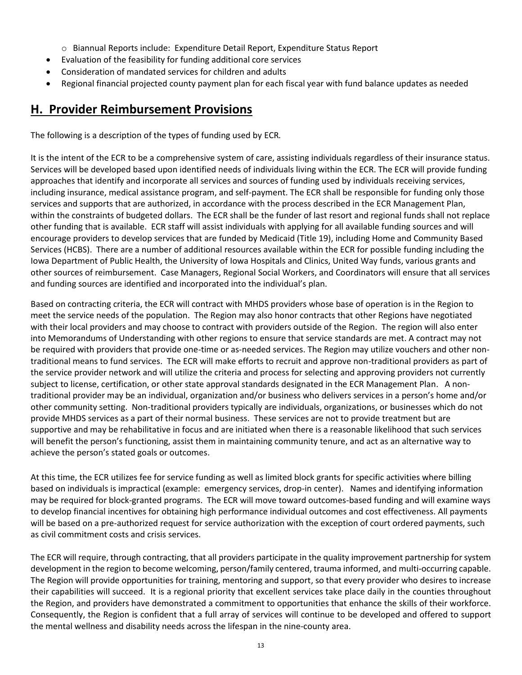- o Biannual Reports include: Expenditure Detail Report, Expenditure Status Report
- Evaluation of the feasibility for funding additional core services
- Consideration of mandated services for children and adults
- Regional financial projected county payment plan for each fiscal year with fund balance updates as needed

### <span id="page-12-0"></span>**H. Provider Reimbursement Provisions**

The following is a description of the types of funding used by ECR*.*

It is the intent of the ECR to be a comprehensive system of care, assisting individuals regardless of their insurance status. Services will be developed based upon identified needs of individuals living within the ECR. The ECR will provide funding approaches that identify and incorporate all services and sources of funding used by individuals receiving services, including insurance, medical assistance program, and self-payment. The ECR shall be responsible for funding only those services and supports that are authorized, in accordance with the process described in the ECR Management Plan, within the constraints of budgeted dollars. The ECR shall be the funder of last resort and regional funds shall not replace other funding that is available. ECR staff will assist individuals with applying for all available funding sources and will encourage providers to develop services that are funded by Medicaid (Title 19), including Home and Community Based Services (HCBS). There are a number of additional resources available within the ECR for possible funding including the Iowa Department of Public Health, the University of Iowa Hospitals and Clinics, United Way funds, various grants and other sources of reimbursement. Case Managers, Regional Social Workers, and Coordinators will ensure that all services and funding sources are identified and incorporated into the individual's plan.

Based on contracting criteria, the ECR will contract with MHDS providers whose base of operation is in the Region to meet the service needs of the population. The Region may also honor contracts that other Regions have negotiated with their local providers and may choose to contract with providers outside of the Region. The region will also enter into Memorandums of Understanding with other regions to ensure that service standards are met. A contract may not be required with providers that provide one-time or as-needed services. The Region may utilize vouchers and other nontraditional means to fund services. The ECR will make efforts to recruit and approve non-traditional providers as part of the service provider network and will utilize the criteria and process for selecting and approving providers not currently subject to license, certification, or other state approval standards designated in the ECR Management Plan. A nontraditional provider may be an individual, organization and/or business who delivers services in a person's home and/or other community setting. Non-traditional providers typically are individuals, organizations, or businesses which do not provide MHDS services as a part of their normal business. These services are not to provide treatment but are supportive and may be rehabilitative in focus and are initiated when there is a reasonable likelihood that such services will benefit the person's functioning, assist them in maintaining community tenure, and act as an alternative way to achieve the person's stated goals or outcomes.

At this time, the ECR utilizes fee for service funding as well as limited block grants for specific activities where billing based on individuals is impractical (example: emergency services, drop-in center). Names and identifying information may be required for block-granted programs. The ECR will move toward outcomes-based funding and will examine ways to develop financial incentives for obtaining high performance individual outcomes and cost effectiveness. All payments will be based on a pre-authorized request for service authorization with the exception of court ordered payments, such as civil commitment costs and crisis services.

The ECR will require, through contracting, that all providers participate in the quality improvement partnership for system development in the region to become welcoming, person/family centered, trauma informed, and multi-occurring capable. The Region will provide opportunities for training, mentoring and support, so that every provider who desires to increase their capabilities will succeed. It is a regional priority that excellent services take place daily in the counties throughout the Region, and providers have demonstrated a commitment to opportunities that enhance the skills of their workforce. Consequently, the Region is confident that a full array of services will continue to be developed and offered to support the mental wellness and disability needs across the lifespan in the nine-county area.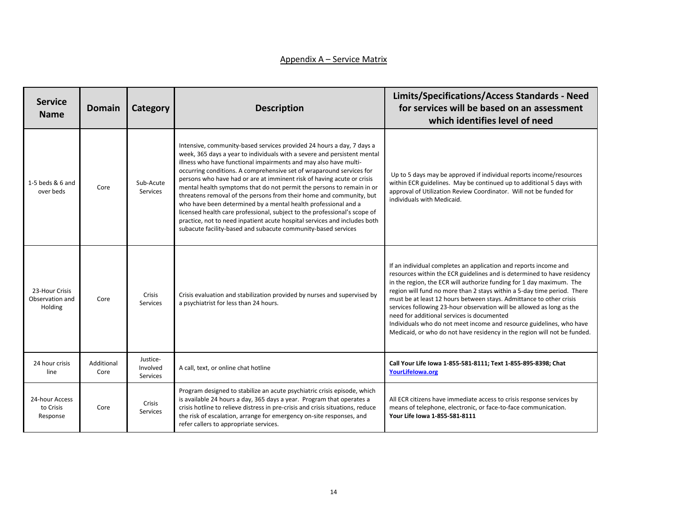#### Appendix A – Service Matrix

| <b>Service</b><br><b>Name</b>                | <b>Domain</b>      | Category                                | <b>Description</b>                                                                                                                                                                                                                                                                                                                                                                                                                                                                                                                                                                                                                                                                                                                                                                                                   | Limits/Specifications/Access Standards - Need<br>for services will be based on an assessment<br>which identifies level of need                                                                                                                                                                                                                                                                                                                                                                                                                                                                                                                   |
|----------------------------------------------|--------------------|-----------------------------------------|----------------------------------------------------------------------------------------------------------------------------------------------------------------------------------------------------------------------------------------------------------------------------------------------------------------------------------------------------------------------------------------------------------------------------------------------------------------------------------------------------------------------------------------------------------------------------------------------------------------------------------------------------------------------------------------------------------------------------------------------------------------------------------------------------------------------|--------------------------------------------------------------------------------------------------------------------------------------------------------------------------------------------------------------------------------------------------------------------------------------------------------------------------------------------------------------------------------------------------------------------------------------------------------------------------------------------------------------------------------------------------------------------------------------------------------------------------------------------------|
| 1-5 beds & 6 and<br>over beds                | Core               | Sub-Acute<br>Services                   | Intensive, community-based services provided 24 hours a day, 7 days a<br>week, 365 days a year to individuals with a severe and persistent mental<br>illness who have functional impairments and may also have multi-<br>occurring conditions. A comprehensive set of wraparound services for<br>persons who have had or are at imminent risk of having acute or crisis<br>mental health symptoms that do not permit the persons to remain in or<br>threatens removal of the persons from their home and community, but<br>who have been determined by a mental health professional and a<br>licensed health care professional, subject to the professional's scope of<br>practice, not to need inpatient acute hospital services and includes both<br>subacute facility-based and subacute community-based services | Up to 5 days may be approved if individual reports income/resources<br>within ECR guidelines. May be continued up to additional 5 days with<br>approval of Utilization Review Coordinator. Will not be funded for<br>individuals with Medicaid.                                                                                                                                                                                                                                                                                                                                                                                                  |
| 23-Hour Crisis<br>Observation and<br>Holding | Core               | Crisis<br><b>Services</b>               | Crisis evaluation and stabilization provided by nurses and supervised by<br>a psychiatrist for less than 24 hours.                                                                                                                                                                                                                                                                                                                                                                                                                                                                                                                                                                                                                                                                                                   | If an individual completes an application and reports income and<br>resources within the ECR guidelines and is determined to have residency<br>in the region, the ECR will authorize funding for 1 day maximum. The<br>region will fund no more than 2 stays within a 5-day time period. There<br>must be at least 12 hours between stays. Admittance to other crisis<br>services following 23-hour observation will be allowed as long as the<br>need for additional services is documented<br>Individuals who do not meet income and resource guidelines, who have<br>Medicaid, or who do not have residency in the region will not be funded. |
| 24 hour crisis<br>line                       | Additional<br>Core | Justice-<br>Involved<br><b>Services</b> | A call, text, or online chat hotline                                                                                                                                                                                                                                                                                                                                                                                                                                                                                                                                                                                                                                                                                                                                                                                 | Call Your Life Iowa 1-855-581-8111; Text 1-855-895-8398; Chat<br>YourLifelowa.org                                                                                                                                                                                                                                                                                                                                                                                                                                                                                                                                                                |
| 24-hour Access<br>to Crisis<br>Response      | Core               | Crisis<br><b>Services</b>               | Program designed to stabilize an acute psychiatric crisis episode, which<br>is available 24 hours a day, 365 days a year. Program that operates a<br>crisis hotline to relieve distress in pre-crisis and crisis situations, reduce<br>the risk of escalation, arrange for emergency on-site responses, and<br>refer callers to appropriate services.                                                                                                                                                                                                                                                                                                                                                                                                                                                                | All ECR citizens have immediate access to crisis response services by<br>means of telephone, electronic, or face-to-face communication.<br>Your Life Iowa 1-855-581-8111                                                                                                                                                                                                                                                                                                                                                                                                                                                                         |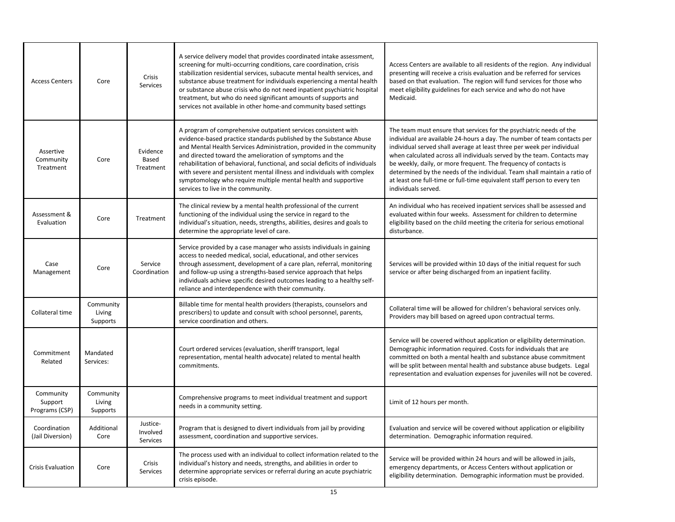| <b>Access Centers</b>                  | Core                            | Crisis<br><b>Services</b>               | A service delivery model that provides coordinated intake assessment,<br>screening for multi-occurring conditions, care coordination, crisis<br>stabilization residential services, subacute mental health services, and<br>substance abuse treatment for individuals experiencing a mental health<br>or substance abuse crisis who do not need inpatient psychiatric hospital<br>treatment, but who do need significant amounts of supports and<br>services not available in other home-and community based settings                      | Access Centers are available to all residents of the region. Any individual<br>presenting will receive a crisis evaluation and be referred for services<br>based on that evaluation. The region will fund services for those who<br>meet eligibility guidelines for each service and who do not have<br>Medicaid.                                                                                                                                                                                                                                        |
|----------------------------------------|---------------------------------|-----------------------------------------|--------------------------------------------------------------------------------------------------------------------------------------------------------------------------------------------------------------------------------------------------------------------------------------------------------------------------------------------------------------------------------------------------------------------------------------------------------------------------------------------------------------------------------------------|----------------------------------------------------------------------------------------------------------------------------------------------------------------------------------------------------------------------------------------------------------------------------------------------------------------------------------------------------------------------------------------------------------------------------------------------------------------------------------------------------------------------------------------------------------|
| Assertive<br>Community<br>Treatment    | Core                            | Evidence<br>Based<br>Treatment          | A program of comprehensive outpatient services consistent with<br>evidence-based practice standards published by the Substance Abuse<br>and Mental Health Services Administration, provided in the community<br>and directed toward the amelioration of symptoms and the<br>rehabilitation of behavioral, functional, and social deficits of individuals<br>with severe and persistent mental illness and individuals with complex<br>symptomology who require multiple mental health and supportive<br>services to live in the community. | The team must ensure that services for the psychiatric needs of the<br>individual are available 24-hours a day. The number of team contacts per<br>individual served shall average at least three per week per individual<br>when calculated across all individuals served by the team. Contacts may<br>be weekly, daily, or more frequent. The frequency of contacts is<br>determined by the needs of the individual. Team shall maintain a ratio of<br>at least one full-time or full-time equivalent staff person to every ten<br>individuals served. |
| Assessment &<br>Evaluation             | Core                            | Treatment                               | The clinical review by a mental health professional of the current<br>functioning of the individual using the service in regard to the<br>individual's situation, needs, strengths, abilities, desires and goals to<br>determine the appropriate level of care.                                                                                                                                                                                                                                                                            | An individual who has received inpatient services shall be assessed and<br>evaluated within four weeks. Assessment for children to determine<br>eligibility based on the child meeting the criteria for serious emotional<br>disturbance.                                                                                                                                                                                                                                                                                                                |
| Case<br>Management                     | Core                            | Service<br>Coordination                 | Service provided by a case manager who assists individuals in gaining<br>access to needed medical, social, educational, and other services<br>through assessment, development of a care plan, referral, monitoring<br>and follow-up using a strengths-based service approach that helps<br>individuals achieve specific desired outcomes leading to a healthy self-<br>reliance and interdependence with their community.                                                                                                                  | Services will be provided within 10 days of the initial request for such<br>service or after being discharged from an inpatient facility.                                                                                                                                                                                                                                                                                                                                                                                                                |
| Collateral time                        | Community<br>Living<br>Supports |                                         | Billable time for mental health providers (therapists, counselors and<br>prescribers) to update and consult with school personnel, parents,<br>service coordination and others.                                                                                                                                                                                                                                                                                                                                                            | Collateral time will be allowed for children's behavioral services only.<br>Providers may bill based on agreed upon contractual terms.                                                                                                                                                                                                                                                                                                                                                                                                                   |
| Commitment<br>Related                  | Mandated<br>Services:           |                                         | Court ordered services (evaluation, sheriff transport, legal<br>representation, mental health advocate) related to mental health<br>commitments.                                                                                                                                                                                                                                                                                                                                                                                           | Service will be covered without application or eligibility determination.<br>Demographic information required. Costs for individuals that are<br>committed on both a mental health and substance abuse commitment<br>will be split between mental health and substance abuse budgets. Legal<br>representation and evaluation expenses for juveniles will not be covered.                                                                                                                                                                                 |
| Community<br>Support<br>Programs (CSP) | Community<br>Living<br>Supports |                                         | Comprehensive programs to meet individual treatment and support<br>needs in a community setting.                                                                                                                                                                                                                                                                                                                                                                                                                                           | Limit of 12 hours per month.                                                                                                                                                                                                                                                                                                                                                                                                                                                                                                                             |
| Coordination<br>(Jail Diversion)       | Additional<br>Core              | Justice-<br>Involved<br><b>Services</b> | Program that is designed to divert individuals from jail by providing<br>assessment, coordination and supportive services.                                                                                                                                                                                                                                                                                                                                                                                                                 | Evaluation and service will be covered without application or eligibility<br>determination. Demographic information required.                                                                                                                                                                                                                                                                                                                                                                                                                            |
| <b>Crisis Evaluation</b>               | Core                            | Crisis<br><b>Services</b>               | The process used with an individual to collect information related to the<br>individual's history and needs, strengths, and abilities in order to<br>determine appropriate services or referral during an acute psychiatric<br>crisis episode.                                                                                                                                                                                                                                                                                             | Service will be provided within 24 hours and will be allowed in jails,<br>emergency departments, or Access Centers without application or<br>eligibility determination. Demographic information must be provided.                                                                                                                                                                                                                                                                                                                                        |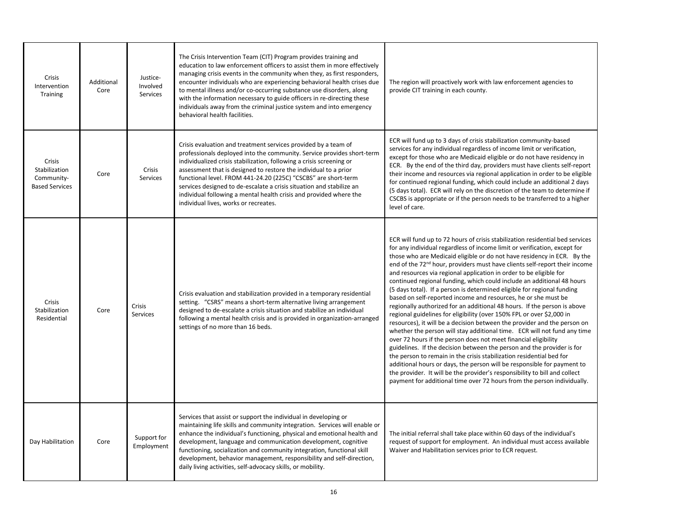| Crisis<br>Intervention<br>Training                             | Additional<br>Core | Justice-<br>Involved<br>Services | The Crisis Intervention Team (CIT) Program provides training and<br>education to law enforcement officers to assist them in more effectively<br>managing crisis events in the community when they, as first responders,<br>encounter individuals who are experiencing behavioral health crises due<br>to mental illness and/or co-occurring substance use disorders, along<br>with the information necessary to guide officers in re-directing these<br>individuals away from the criminal justice system and into emergency<br>behavioral health facilities. | The region will proactively work with law enforcement agencies to<br>provide CIT training in each county.                                                                                                                                                                                                                                                                                                                                                                                                                                                                                                                                                                                                                                                                                                                                                                                                                                                                                                                                                                                                                                                                                                                                                                                                                                                                                          |
|----------------------------------------------------------------|--------------------|----------------------------------|---------------------------------------------------------------------------------------------------------------------------------------------------------------------------------------------------------------------------------------------------------------------------------------------------------------------------------------------------------------------------------------------------------------------------------------------------------------------------------------------------------------------------------------------------------------|----------------------------------------------------------------------------------------------------------------------------------------------------------------------------------------------------------------------------------------------------------------------------------------------------------------------------------------------------------------------------------------------------------------------------------------------------------------------------------------------------------------------------------------------------------------------------------------------------------------------------------------------------------------------------------------------------------------------------------------------------------------------------------------------------------------------------------------------------------------------------------------------------------------------------------------------------------------------------------------------------------------------------------------------------------------------------------------------------------------------------------------------------------------------------------------------------------------------------------------------------------------------------------------------------------------------------------------------------------------------------------------------------|
| Crisis<br>Stabilization<br>Community-<br><b>Based Services</b> | Core               | Crisis<br><b>Services</b>        | Crisis evaluation and treatment services provided by a team of<br>professionals deployed into the community. Service provides short-term<br>individualized crisis stabilization, following a crisis screening or<br>assessment that is designed to restore the individual to a prior<br>functional level. FROM 441-24.20 (225C) "CSCBS" are short-term<br>services designed to de-escalate a crisis situation and stabilize an<br>individual following a mental health crisis and provided where the<br>individual lives, works or recreates.                 | ECR will fund up to 3 days of crisis stabilization community-based<br>services for any individual regardless of income limit or verification,<br>except for those who are Medicaid eligible or do not have residency in<br>ECR. By the end of the third day, providers must have clients self-report<br>their income and resources via regional application in order to be eligible<br>for continued regional funding, which could include an additional 2 days<br>(5 days total). ECR will rely on the discretion of the team to determine if<br>CSCBS is appropriate or if the person needs to be transferred to a higher<br>level of care.                                                                                                                                                                                                                                                                                                                                                                                                                                                                                                                                                                                                                                                                                                                                                      |
| Crisis<br>Stabilization<br>Residential                         | Core               | Crisis<br>Services               | Crisis evaluation and stabilization provided in a temporary residential<br>setting. "CSRS" means a short-term alternative living arrangement<br>designed to de-escalate a crisis situation and stabilize an individual<br>following a mental health crisis and is provided in organization-arranged<br>settings of no more than 16 beds.                                                                                                                                                                                                                      | ECR will fund up to 72 hours of crisis stabilization residential bed services<br>for any individual regardless of income limit or verification, except for<br>those who are Medicaid eligible or do not have residency in ECR. By the<br>end of the 72 <sup>nd</sup> hour, providers must have clients self-report their income<br>and resources via regional application in order to be eligible for<br>continued regional funding, which could include an additional 48 hours<br>(5 days total). If a person is determined eligible for regional funding<br>based on self-reported income and resources, he or she must be<br>regionally authorized for an additional 48 hours. If the person is above<br>regional guidelines for eligibility (over 150% FPL or over \$2,000 in<br>resources), it will be a decision between the provider and the person on<br>whether the person will stay additional time. ECR will not fund any time<br>over 72 hours if the person does not meet financial eligibility<br>guidelines. If the decision between the person and the provider is for<br>the person to remain in the crisis stabilization residential bed for<br>additional hours or days, the person will be responsible for payment to<br>the provider. It will be the provider's responsibility to bill and collect<br>payment for additional time over 72 hours from the person individually. |
| Day Habilitation                                               | Core               | Support for<br>Employment        | Services that assist or support the individual in developing or<br>maintaining life skills and community integration. Services will enable or<br>enhance the individual's functioning, physical and emotional health and<br>development, language and communication development, cognitive<br>functioning, socialization and community integration, functional skill<br>development, behavior management, responsibility and self-direction,<br>daily living activities, self-advocacy skills, or mobility.                                                   | The initial referral shall take place within 60 days of the individual's<br>request of support for employment. An individual must access available<br>Waiver and Habilitation services prior to ECR request.                                                                                                                                                                                                                                                                                                                                                                                                                                                                                                                                                                                                                                                                                                                                                                                                                                                                                                                                                                                                                                                                                                                                                                                       |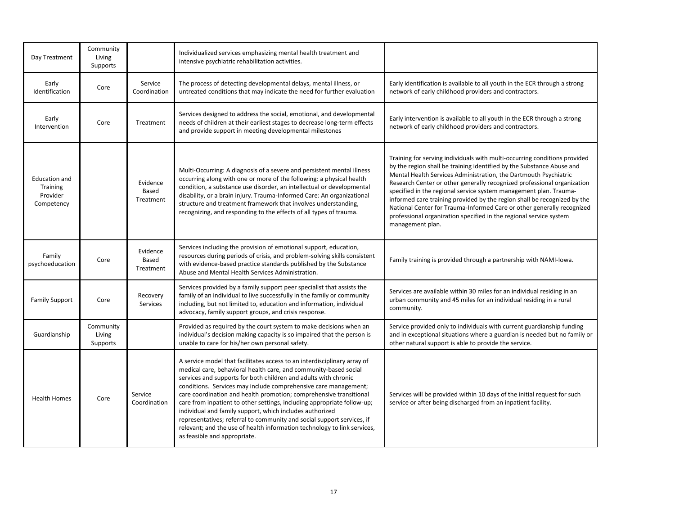| Day Treatment                                              | Community<br>Living<br>Supports |                                | Individualized services emphasizing mental health treatment and<br>intensive psychiatric rehabilitation activities.                                                                                                                                                                                                                                                                                                                                                                                                                                                                                                                                                                   |                                                                                                                                                                                                                                                                                                                                                                                                                                                                                                                                                                                                                        |
|------------------------------------------------------------|---------------------------------|--------------------------------|---------------------------------------------------------------------------------------------------------------------------------------------------------------------------------------------------------------------------------------------------------------------------------------------------------------------------------------------------------------------------------------------------------------------------------------------------------------------------------------------------------------------------------------------------------------------------------------------------------------------------------------------------------------------------------------|------------------------------------------------------------------------------------------------------------------------------------------------------------------------------------------------------------------------------------------------------------------------------------------------------------------------------------------------------------------------------------------------------------------------------------------------------------------------------------------------------------------------------------------------------------------------------------------------------------------------|
| Early<br>Identification                                    | Core                            | Service<br>Coordination        | The process of detecting developmental delays, mental illness, or<br>untreated conditions that may indicate the need for further evaluation                                                                                                                                                                                                                                                                                                                                                                                                                                                                                                                                           | Early identification is available to all youth in the ECR through a strong<br>network of early childhood providers and contractors.                                                                                                                                                                                                                                                                                                                                                                                                                                                                                    |
| Early<br>Intervention                                      | Core                            | Treatment                      | Services designed to address the social, emotional, and developmental<br>needs of children at their earliest stages to decrease long-term effects<br>and provide support in meeting developmental milestones                                                                                                                                                                                                                                                                                                                                                                                                                                                                          | Early intervention is available to all youth in the ECR through a strong<br>network of early childhood providers and contractors.                                                                                                                                                                                                                                                                                                                                                                                                                                                                                      |
| <b>Education and</b><br>Training<br>Provider<br>Competency |                                 | Evidence<br>Based<br>Treatment | Multi-Occurring: A diagnosis of a severe and persistent mental illness<br>occurring along with one or more of the following: a physical health<br>condition, a substance use disorder, an intellectual or developmental<br>disability, or a brain injury. Trauma-Informed Care: An organizational<br>structure and treatment framework that involves understanding,<br>recognizing, and responding to the effects of all types of trauma.                                                                                                                                                                                                                                             | Training for serving individuals with multi-occurring conditions provided<br>by the region shall be training identified by the Substance Abuse and<br>Mental Health Services Administration, the Dartmouth Psychiatric<br>Research Center or other generally recognized professional organization<br>specified in the regional service system management plan. Trauma-<br>informed care training provided by the region shall be recognized by the<br>National Center for Trauma-Informed Care or other generally recognized<br>professional organization specified in the regional service system<br>management plan. |
| Family<br>psychoeducation                                  | Core                            | Evidence<br>Based<br>Treatment | Services including the provision of emotional support, education,<br>resources during periods of crisis, and problem-solving skills consistent<br>with evidence-based practice standards published by the Substance<br>Abuse and Mental Health Services Administration.                                                                                                                                                                                                                                                                                                                                                                                                               | Family training is provided through a partnership with NAMI-lowa.                                                                                                                                                                                                                                                                                                                                                                                                                                                                                                                                                      |
| <b>Family Support</b>                                      | Core                            | Recovery<br>Services           | Services provided by a family support peer specialist that assists the<br>family of an individual to live successfully in the family or community<br>including, but not limited to, education and information, individual<br>advocacy, family support groups, and crisis response.                                                                                                                                                                                                                                                                                                                                                                                                    | Services are available within 30 miles for an individual residing in an<br>urban community and 45 miles for an individual residing in a rural<br>community.                                                                                                                                                                                                                                                                                                                                                                                                                                                            |
| Guardianship                                               | Community<br>Living<br>Supports |                                | Provided as required by the court system to make decisions when an<br>individual's decision making capacity is so impaired that the person is<br>unable to care for his/her own personal safety.                                                                                                                                                                                                                                                                                                                                                                                                                                                                                      | Service provided only to individuals with current guardianship funding<br>and in exceptional situations where a guardian is needed but no family or<br>other natural support is able to provide the service.                                                                                                                                                                                                                                                                                                                                                                                                           |
| <b>Health Homes</b>                                        | Core                            | Service<br>Coordination        | A service model that facilitates access to an interdisciplinary array of<br>medical care, behavioral health care, and community-based social<br>services and supports for both children and adults with chronic<br>conditions. Services may include comprehensive care management;<br>care coordination and health promotion; comprehensive transitional<br>care from inpatient to other settings, including appropriate follow-up;<br>individual and family support, which includes authorized<br>representatives; referral to community and social support services, if<br>relevant; and the use of health information technology to link services,<br>as feasible and appropriate. | Services will be provided within 10 days of the initial request for such<br>service or after being discharged from an inpatient facility.                                                                                                                                                                                                                                                                                                                                                                                                                                                                              |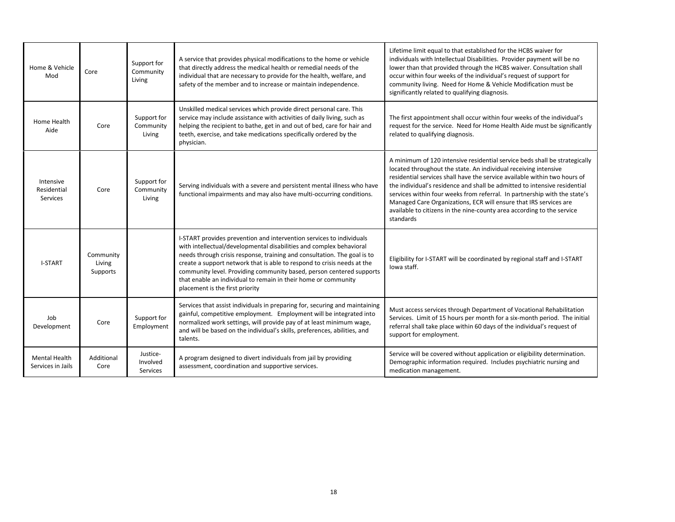| Home & Vehicle<br>Mod                     | Core                            | Support for<br>Community<br>Living      | A service that provides physical modifications to the home or vehicle<br>that directly address the medical health or remedial needs of the<br>individual that are necessary to provide for the health, welfare, and<br>safety of the member and to increase or maintain independence.                                                                                                                                                                                           | Lifetime limit equal to that established for the HCBS waiver for<br>individuals with Intellectual Disabilities. Provider payment will be no<br>lower than that provided through the HCBS waiver. Consultation shall<br>occur within four weeks of the individual's request of support for<br>community living. Need for Home & Vehicle Modification must be<br>significantly related to qualifying diagnosis.                                                                                                                                    |
|-------------------------------------------|---------------------------------|-----------------------------------------|---------------------------------------------------------------------------------------------------------------------------------------------------------------------------------------------------------------------------------------------------------------------------------------------------------------------------------------------------------------------------------------------------------------------------------------------------------------------------------|--------------------------------------------------------------------------------------------------------------------------------------------------------------------------------------------------------------------------------------------------------------------------------------------------------------------------------------------------------------------------------------------------------------------------------------------------------------------------------------------------------------------------------------------------|
| Home Health<br>Aide                       | Core                            | Support for<br>Community<br>Living      | Unskilled medical services which provide direct personal care. This<br>service may include assistance with activities of daily living, such as<br>helping the recipient to bathe, get in and out of bed, care for hair and<br>teeth, exercise, and take medications specifically ordered by the<br>physician.                                                                                                                                                                   | The first appointment shall occur within four weeks of the individual's<br>request for the service. Need for Home Health Aide must be significantly<br>related to qualifying diagnosis.                                                                                                                                                                                                                                                                                                                                                          |
| Intensive<br>Residential<br>Services      | Core                            | Support for<br>Community<br>Living      | Serving individuals with a severe and persistent mental illness who have<br>functional impairments and may also have multi-occurring conditions.                                                                                                                                                                                                                                                                                                                                | A minimum of 120 intensive residential service beds shall be strategically<br>located throughout the state. An individual receiving intensive<br>residential services shall have the service available within two hours of<br>the individual's residence and shall be admitted to intensive residential<br>services within four weeks from referral. In partnership with the state's<br>Managed Care Organizations, ECR will ensure that IRS services are<br>available to citizens in the nine-county area according to the service<br>standards |
| <b>I-START</b>                            | Community<br>Living<br>Supports |                                         | I-START provides prevention and intervention services to individuals<br>with intellectual/developmental disabilities and complex behavioral<br>needs through crisis response, training and consultation. The goal is to<br>create a support network that is able to respond to crisis needs at the<br>community level. Providing community based, person centered supports<br>that enable an individual to remain in their home or community<br>placement is the first priority | Eligibility for I-START will be coordinated by regional staff and I-START<br>lowa staff.                                                                                                                                                                                                                                                                                                                                                                                                                                                         |
| Job<br>Development                        | Core                            | Support for<br>Employment               | Services that assist individuals in preparing for, securing and maintaining<br>gainful, competitive employment. Employment will be integrated into<br>normalized work settings, will provide pay of at least minimum wage,<br>and will be based on the individual's skills, preferences, abilities, and<br>talents.                                                                                                                                                             | Must access services through Department of Vocational Rehabilitation<br>Services. Limit of 15 hours per month for a six-month period. The initial<br>referral shall take place within 60 days of the individual's request of<br>support for employment.                                                                                                                                                                                                                                                                                          |
| <b>Mental Health</b><br>Services in Jails | Additional<br>Core              | Justice-<br>Involved<br><b>Services</b> | A program designed to divert individuals from jail by providing<br>assessment, coordination and supportive services.                                                                                                                                                                                                                                                                                                                                                            | Service will be covered without application or eligibility determination.<br>Demographic information required. Includes psychiatric nursing and<br>medication management.                                                                                                                                                                                                                                                                                                                                                                        |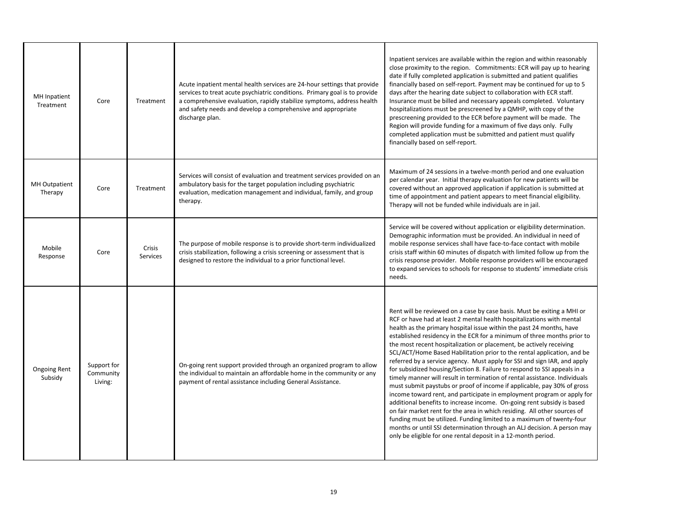| MH Inpatient<br>Treatment      | Core                                | Treatment                 | Acute inpatient mental health services are 24-hour settings that provide<br>services to treat acute psychiatric conditions. Primary goal is to provide<br>a comprehensive evaluation, rapidly stabilize symptoms, address health<br>and safety needs and develop a comprehensive and appropriate<br>discharge plan. | Inpatient services are available within the region and within reasonably<br>close proximity to the region. Commitments: ECR will pay up to hearing<br>date if fully completed application is submitted and patient qualifies<br>financially based on self-report. Payment may be continued for up to 5<br>days after the hearing date subject to collaboration with ECR staff.<br>Insurance must be billed and necessary appeals completed. Voluntary<br>hospitalizations must be prescreened by a QMHP, with copy of the<br>prescreening provided to the ECR before payment will be made. The<br>Region will provide funding for a maximum of five days only. Fully<br>completed application must be submitted and patient must qualify<br>financially based on self-report.                                                                                                                                                                                                                                                                                                                                                                                                                                               |
|--------------------------------|-------------------------------------|---------------------------|---------------------------------------------------------------------------------------------------------------------------------------------------------------------------------------------------------------------------------------------------------------------------------------------------------------------|-----------------------------------------------------------------------------------------------------------------------------------------------------------------------------------------------------------------------------------------------------------------------------------------------------------------------------------------------------------------------------------------------------------------------------------------------------------------------------------------------------------------------------------------------------------------------------------------------------------------------------------------------------------------------------------------------------------------------------------------------------------------------------------------------------------------------------------------------------------------------------------------------------------------------------------------------------------------------------------------------------------------------------------------------------------------------------------------------------------------------------------------------------------------------------------------------------------------------------|
| MH Outpatient<br>Therapy       | Core                                | Treatment                 | Services will consist of evaluation and treatment services provided on an<br>ambulatory basis for the target population including psychiatric<br>evaluation, medication management and individual, family, and group<br>therapy.                                                                                    | Maximum of 24 sessions in a twelve-month period and one evaluation<br>per calendar year. Initial therapy evaluation for new patients will be<br>covered without an approved application if application is submitted at<br>time of appointment and patient appears to meet financial eligibility.<br>Therapy will not be funded while individuals are in jail.                                                                                                                                                                                                                                                                                                                                                                                                                                                                                                                                                                                                                                                                                                                                                                                                                                                               |
| Mobile<br>Response             | Core                                | <b>Crisis</b><br>Services | The purpose of mobile response is to provide short-term individualized<br>crisis stabilization, following a crisis screening or assessment that is<br>designed to restore the individual to a prior functional level.                                                                                               | Service will be covered without application or eligibility determination.<br>Demographic information must be provided. An individual in need of<br>mobile response services shall have face-to-face contact with mobile<br>crisis staff within 60 minutes of dispatch with limited follow up from the<br>crisis response provider. Mobile response providers will be encouraged<br>to expand services to schools for response to students' immediate crisis<br>needs.                                                                                                                                                                                                                                                                                                                                                                                                                                                                                                                                                                                                                                                                                                                                                       |
| <b>Ongoing Rent</b><br>Subsidy | Support for<br>Community<br>Living: |                           | On-going rent support provided through an organized program to allow<br>the individual to maintain an affordable home in the community or any<br>payment of rental assistance including General Assistance.                                                                                                         | Rent will be reviewed on a case by case basis. Must be exiting a MHI or<br>RCF or have had at least 2 mental health hospitalizations with mental<br>health as the primary hospital issue within the past 24 months, have<br>established residency in the ECR for a minimum of three months prior to<br>the most recent hospitalization or placement, be actively receiving<br>SCL/ACT/Home Based Habilitation prior to the rental application, and be<br>referred by a service agency. Must apply for SSI and sign IAR, and apply<br>for subsidized housing/Section 8. Failure to respond to SSI appeals in a<br>timely manner will result in termination of rental assistance. Individuals<br>must submit paystubs or proof of income if applicable, pay 30% of gross<br>income toward rent, and participate in employment program or apply for<br>additional benefits to increase income. On-going rent subsidy is based<br>on fair market rent for the area in which residing. All other sources of<br>funding must be utilized. Funding limited to a maximum of twenty-four<br>months or until SSI determination through an ALJ decision. A person may<br>only be eligible for one rental deposit in a 12-month period. |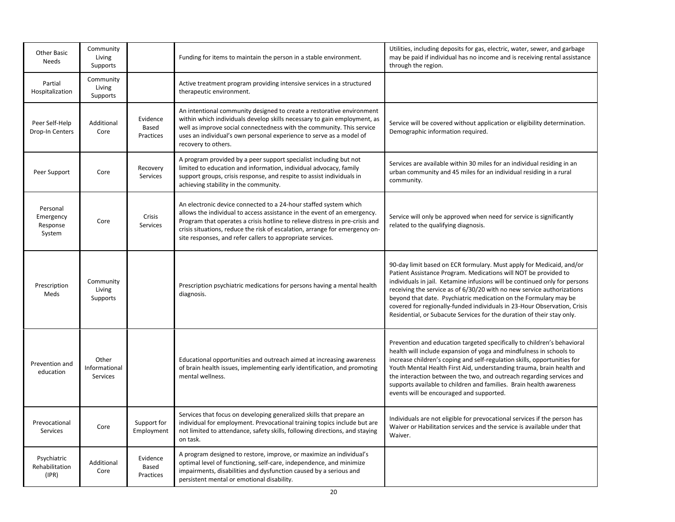| Partial<br>Hospitalization                  | Community<br>Living<br>Supports    |                                |                                                                                                                                                                                                                                                                                                                                                                           |                                                                                                                                                                                                                                                                                                                                                                                                                                                                                                                           |
|---------------------------------------------|------------------------------------|--------------------------------|---------------------------------------------------------------------------------------------------------------------------------------------------------------------------------------------------------------------------------------------------------------------------------------------------------------------------------------------------------------------------|---------------------------------------------------------------------------------------------------------------------------------------------------------------------------------------------------------------------------------------------------------------------------------------------------------------------------------------------------------------------------------------------------------------------------------------------------------------------------------------------------------------------------|
|                                             |                                    |                                | Active treatment program providing intensive services in a structured<br>therapeutic environment.                                                                                                                                                                                                                                                                         |                                                                                                                                                                                                                                                                                                                                                                                                                                                                                                                           |
| Peer Self-Help<br>Drop-In Centers           | Additional<br>Core                 | Evidence<br>Based<br>Practices | An intentional community designed to create a restorative environment<br>within which individuals develop skills necessary to gain employment, as<br>well as improve social connectedness with the community. This service<br>uses an individual's own personal experience to serve as a model of<br>recovery to others.                                                  | Service will be covered without application or eligibility determination.<br>Demographic information required.                                                                                                                                                                                                                                                                                                                                                                                                            |
| Peer Support                                | Core                               | Recovery<br>Services           | A program provided by a peer support specialist including but not<br>limited to education and information, individual advocacy, family<br>support groups, crisis response, and respite to assist individuals in<br>achieving stability in the community.                                                                                                                  | Services are available within 30 miles for an individual residing in an<br>urban community and 45 miles for an individual residing in a rural<br>community.                                                                                                                                                                                                                                                                                                                                                               |
| Personal<br>Emergency<br>Response<br>System | Core                               | Crisis<br><b>Services</b>      | An electronic device connected to a 24-hour staffed system which<br>allows the individual to access assistance in the event of an emergency.<br>Program that operates a crisis hotline to relieve distress in pre-crisis and<br>crisis situations, reduce the risk of escalation, arrange for emergency on-<br>site responses, and refer callers to appropriate services. | Service will only be approved when need for service is significantly<br>related to the qualifying diagnosis.                                                                                                                                                                                                                                                                                                                                                                                                              |
| Prescription<br>Meds                        | Community<br>Living<br>Supports    |                                | Prescription psychiatric medications for persons having a mental health<br>diagnosis.                                                                                                                                                                                                                                                                                     | 90-day limit based on ECR formulary. Must apply for Medicaid, and/or<br>Patient Assistance Program. Medications will NOT be provided to<br>individuals in jail. Ketamine infusions will be continued only for persons<br>receiving the service as of 6/30/20 with no new service authorizations<br>beyond that date. Psychiatric medication on the Formulary may be<br>covered for regionally-funded individuals in 23-Hour Observation, Crisis<br>Residential, or Subacute Services for the duration of their stay only. |
| Prevention and<br>education                 | Other<br>Informational<br>Services |                                | Educational opportunities and outreach aimed at increasing awareness<br>of brain health issues, implementing early identification, and promoting<br>mental wellness.                                                                                                                                                                                                      | Prevention and education targeted specifically to children's behavioral<br>health will include expansion of yoga and mindfulness in schools to<br>increase children's coping and self-regulation skills, opportunities for<br>Youth Mental Health First Aid, understanding trauma, brain health and<br>the interaction between the two, and outreach regarding services and<br>supports available to children and families. Brain health awareness<br>events will be encouraged and supported.                            |
| Prevocational<br>Services                   | Core                               | Support for<br>Employment      | Services that focus on developing generalized skills that prepare an<br>individual for employment. Prevocational training topics include but are<br>not limited to attendance, safety skills, following directions, and staying<br>on task.                                                                                                                               | Individuals are not eligible for prevocational services if the person has<br>Waiver or Habilitation services and the service is available under that<br>Waiver.                                                                                                                                                                                                                                                                                                                                                           |
| Psychiatric<br>Rehabilitation<br>(IPR)      | Additional<br>Core                 | Evidence<br>Based<br>Practices | A program designed to restore, improve, or maximize an individual's<br>optimal level of functioning, self-care, independence, and minimize<br>impairments, disabilities and dysfunction caused by a serious and<br>persistent mental or emotional disability.<br>20                                                                                                       |                                                                                                                                                                                                                                                                                                                                                                                                                                                                                                                           |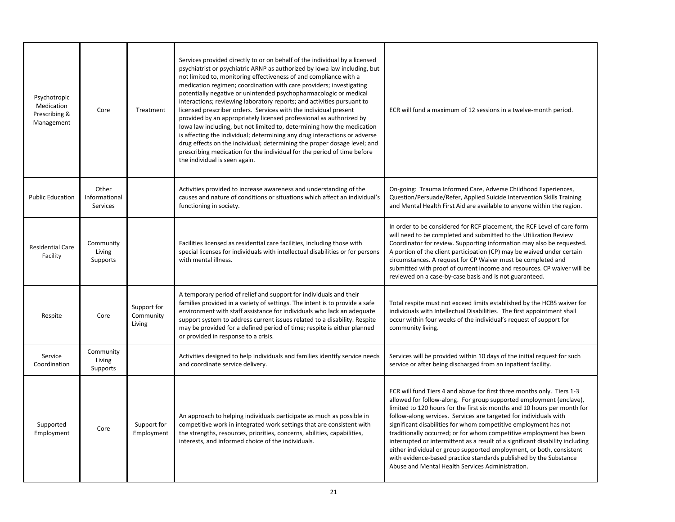| Psychotropic<br>Medication<br>Prescribing &<br>Management | Core                               | Treatment                          | Services provided directly to or on behalf of the individual by a licensed<br>psychiatrist or psychiatric ARNP as authorized by Iowa law including, but<br>not limited to, monitoring effectiveness of and compliance with a<br>medication regimen; coordination with care providers; investigating<br>potentially negative or unintended psychopharmacologic or medical<br>interactions; reviewing laboratory reports; and activities pursuant to<br>licensed prescriber orders. Services with the individual present<br>provided by an appropriately licensed professional as authorized by<br>lowa law including, but not limited to, determining how the medication<br>is affecting the individual; determining any drug interactions or adverse<br>drug effects on the individual; determining the proper dosage level; and<br>prescribing medication for the individual for the period of time before<br>the individual is seen again. | ECR will fund a maximum of 12 sessions in a twelve-month period.                                                                                                                                                                                                                                                                                                                                                                                                                                                                                                                                                                                                                                                            |
|-----------------------------------------------------------|------------------------------------|------------------------------------|----------------------------------------------------------------------------------------------------------------------------------------------------------------------------------------------------------------------------------------------------------------------------------------------------------------------------------------------------------------------------------------------------------------------------------------------------------------------------------------------------------------------------------------------------------------------------------------------------------------------------------------------------------------------------------------------------------------------------------------------------------------------------------------------------------------------------------------------------------------------------------------------------------------------------------------------|-----------------------------------------------------------------------------------------------------------------------------------------------------------------------------------------------------------------------------------------------------------------------------------------------------------------------------------------------------------------------------------------------------------------------------------------------------------------------------------------------------------------------------------------------------------------------------------------------------------------------------------------------------------------------------------------------------------------------------|
| <b>Public Education</b>                                   | Other<br>Informational<br>Services |                                    | Activities provided to increase awareness and understanding of the<br>causes and nature of conditions or situations which affect an individual's<br>functioning in society.                                                                                                                                                                                                                                                                                                                                                                                                                                                                                                                                                                                                                                                                                                                                                                  | On-going: Trauma Informed Care, Adverse Childhood Experiences,<br>Question/Persuade/Refer, Applied Suicide Intervention Skills Training<br>and Mental Health First Aid are available to anyone within the region.                                                                                                                                                                                                                                                                                                                                                                                                                                                                                                           |
| <b>Residential Care</b><br>Facility                       | Community<br>Living<br>Supports    |                                    | Facilities licensed as residential care facilities, including those with<br>special licenses for individuals with intellectual disabilities or for persons<br>with mental illness.                                                                                                                                                                                                                                                                                                                                                                                                                                                                                                                                                                                                                                                                                                                                                           | In order to be considered for RCF placement, the RCF Level of care form<br>will need to be completed and submitted to the Utilization Review<br>Coordinator for review. Supporting information may also be requested.<br>A portion of the client participation (CP) may be waived under certain<br>circumstances. A request for CP Waiver must be completed and<br>submitted with proof of current income and resources. CP waiver will be<br>reviewed on a case-by-case basis and is not guaranteed.                                                                                                                                                                                                                       |
| Respite                                                   | Core                               | Support for<br>Community<br>Living | A temporary period of relief and support for individuals and their<br>families provided in a variety of settings. The intent is to provide a safe<br>environment with staff assistance for individuals who lack an adequate<br>support system to address current issues related to a disability. Respite<br>may be provided for a defined period of time; respite is either planned<br>or provided in response to a crisis.                                                                                                                                                                                                                                                                                                                                                                                                                                                                                                                  | Total respite must not exceed limits established by the HCBS waiver for<br>individuals with Intellectual Disabilities. The first appointment shall<br>occur within four weeks of the individual's request of support for<br>community living.                                                                                                                                                                                                                                                                                                                                                                                                                                                                               |
| Service<br>Coordination                                   | Community<br>Living<br>Supports    |                                    | Activities designed to help individuals and families identify service needs<br>and coordinate service delivery.                                                                                                                                                                                                                                                                                                                                                                                                                                                                                                                                                                                                                                                                                                                                                                                                                              | Services will be provided within 10 days of the initial request for such<br>service or after being discharged from an inpatient facility.                                                                                                                                                                                                                                                                                                                                                                                                                                                                                                                                                                                   |
| Supported<br>Employment                                   | Core                               | Support for<br>Employment          | An approach to helping individuals participate as much as possible in<br>competitive work in integrated work settings that are consistent with<br>the strengths, resources, priorities, concerns, abilities, capabilities,<br>interests, and informed choice of the individuals.                                                                                                                                                                                                                                                                                                                                                                                                                                                                                                                                                                                                                                                             | ECR will fund Tiers 4 and above for first three months only. Tiers 1-3<br>allowed for follow-along. For group supported employment (enclave),<br>limited to 120 hours for the first six months and 10 hours per month for<br>follow-along services. Services are targeted for individuals with<br>significant disabilities for whom competitive employment has not<br>traditionally occurred; or for whom competitive employment has been<br>interrupted or intermittent as a result of a significant disability including<br>either individual or group supported employment, or both, consistent<br>with evidence-based practice standards published by the Substance<br>Abuse and Mental Health Services Administration. |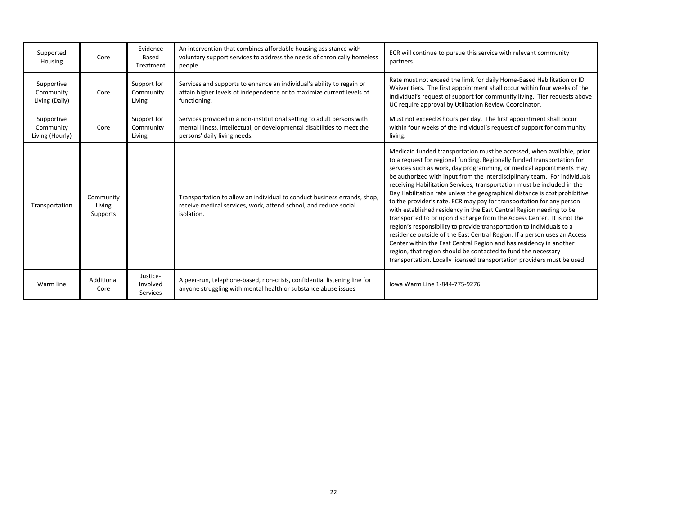| Supported<br>Housing                       | Core                            | Evidence<br>Based<br>Treatment     | An intervention that combines affordable housing assistance with<br>voluntary support services to address the needs of chronically homeless<br>people                             | ECR will continue to pursue this service with relevant community<br>partners.                                                                                                                                                                                                                                                                                                                                                                                                                                                                                                                                                                                                                                                                                                                                                                                                                                                                                                                                                                                   |
|--------------------------------------------|---------------------------------|------------------------------------|-----------------------------------------------------------------------------------------------------------------------------------------------------------------------------------|-----------------------------------------------------------------------------------------------------------------------------------------------------------------------------------------------------------------------------------------------------------------------------------------------------------------------------------------------------------------------------------------------------------------------------------------------------------------------------------------------------------------------------------------------------------------------------------------------------------------------------------------------------------------------------------------------------------------------------------------------------------------------------------------------------------------------------------------------------------------------------------------------------------------------------------------------------------------------------------------------------------------------------------------------------------------|
| Supportive<br>Community<br>Living (Daily)  | Core                            | Support for<br>Community<br>Living | Services and supports to enhance an individual's ability to regain or<br>attain higher levels of independence or to maximize current levels of<br>functioning.                    | Rate must not exceed the limit for daily Home-Based Habilitation or ID<br>Waiver tiers. The first appointment shall occur within four weeks of the<br>individual's request of support for community living. Tier requests above<br>UC require approval by Utilization Review Coordinator.                                                                                                                                                                                                                                                                                                                                                                                                                                                                                                                                                                                                                                                                                                                                                                       |
| Supportive<br>Community<br>Living (Hourly) | Core                            | Support for<br>Community<br>Living | Services provided in a non-institutional setting to adult persons with<br>mental illness, intellectual, or developmental disabilities to meet the<br>persons' daily living needs. | Must not exceed 8 hours per day. The first appointment shall occur<br>within four weeks of the individual's request of support for community<br>living.                                                                                                                                                                                                                                                                                                                                                                                                                                                                                                                                                                                                                                                                                                                                                                                                                                                                                                         |
| Transportation                             | Community<br>Living<br>Supports |                                    | Transportation to allow an individual to conduct business errands, shop,<br>receive medical services, work, attend school, and reduce social<br>isolation.                        | Medicaid funded transportation must be accessed, when available, prior<br>to a request for regional funding. Regionally funded transportation for<br>services such as work, day programming, or medical appointments may<br>be authorized with input from the interdisciplinary team. For individuals<br>receiving Habilitation Services, transportation must be included in the<br>Day Habilitation rate unless the geographical distance is cost prohibitive<br>to the provider's rate. ECR may pay for transportation for any person<br>with established residency in the East Central Region needing to be<br>transported to or upon discharge from the Access Center. It is not the<br>region's responsibility to provide transportation to individuals to a<br>residence outside of the East Central Region. If a person uses an Access<br>Center within the East Central Region and has residency in another<br>region, that region should be contacted to fund the necessary<br>transportation. Locally licensed transportation providers must be used. |
| Warm line                                  | Additional<br>Core              | Justice-<br>Involved<br>Services   | A peer-run, telephone-based, non-crisis, confidential listening line for<br>anyone struggling with mental health or substance abuse issues                                        | Jowa Warm Line 1-844-775-9276                                                                                                                                                                                                                                                                                                                                                                                                                                                                                                                                                                                                                                                                                                                                                                                                                                                                                                                                                                                                                                   |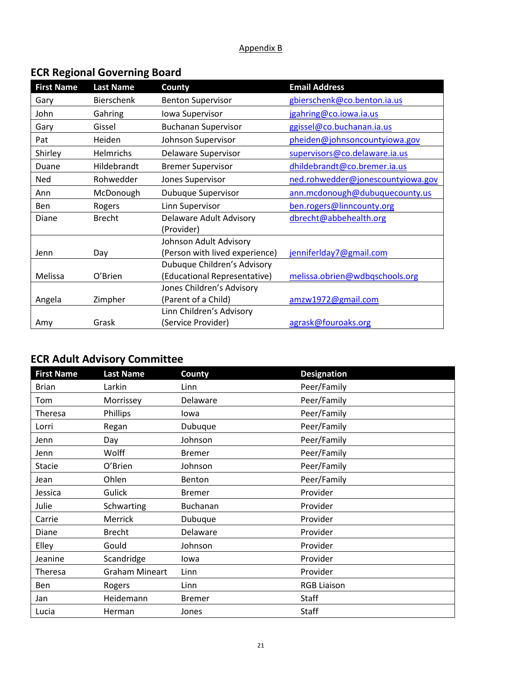#### Appendix B

# **ECR Regional Governing Board**

| <b>First Name</b> | <b>Last Name</b>  | County                         | <b>Email Address</b>              |
|-------------------|-------------------|--------------------------------|-----------------------------------|
| Gary              | <b>Bierschenk</b> | <b>Benton Supervisor</b>       | gbierschenk@co.benton.ia.us       |
| John              | Gahring           | Iowa Supervisor                | jgahring@co.iowa.ia.us            |
| Gary              | Gissel            | <b>Buchanan Supervisor</b>     | ggissel@co.buchanan.ia.us         |
| Pat               | Heiden            | Johnson Supervisor             | pheiden@johnsoncountyiowa.gov     |
| Shirley           | Helmrichs         | Delaware Supervisor            | supervisors@co.delaware.ia.us     |
| Duane             | Hildebrandt       | <b>Bremer Supervisor</b>       | dhildebrandt@co.bremer.ia.us      |
| <b>Ned</b>        | Rohwedder         | Jones Supervisor               | ned.rohwedder@jonescountyiowa.gov |
| Ann               | McDonough         | <b>Dubuque Supervisor</b>      | ann.mcdonough@dubuquecounty.us    |
| Ben               | Rogers            | Linn Supervisor                | ben.rogers@linncounty.org         |
| Diane             | <b>Brecht</b>     | Delaware Adult Advisory        | dbrecht@abbehealth.org            |
|                   |                   | (Provider)                     |                                   |
|                   |                   | Johnson Adult Advisory         |                                   |
| Jenn              | Day               | (Person with lived experience) | jenniferIday7@gmail.com           |
|                   |                   | Dubuque Children's Advisory    |                                   |
| Melissa           | O'Brien           | (Educational Representative)   | melissa.obrien@wdbqschools.org    |
|                   |                   | Jones Children's Advisory      |                                   |
| Angela            | Zimpher           | (Parent of a Child)            | amzw1972@gmail.com                |
|                   |                   | Linn Children's Advisory       |                                   |
| Amy               | Grask             | (Service Provider)             | agrask@fouroaks.org               |

# **ECR Adult Advisory Committee**

| <b>First Name</b> | <b>Last Name</b>      | County        | <b>Designation</b> |
|-------------------|-----------------------|---------------|--------------------|
| <b>Brian</b>      | Larkin                | Linn          | Peer/Family        |
| Tom               | Morrissey             | Delaware      | Peer/Family        |
| <b>Theresa</b>    | Phillips              | lowa          | Peer/Family        |
| Lorri             | Regan                 | Dubuque       | Peer/Family        |
| Jenn              | Day                   | Johnson       | Peer/Family        |
| Jenn              | Wolff                 | <b>Bremer</b> | Peer/Family        |
| <b>Stacie</b>     | O'Brien               | Johnson       | Peer/Family        |
| Jean              | Ohlen                 | Benton        | Peer/Family        |
| Jessica           | Gulick                | <b>Bremer</b> | Provider           |
| Julie             | Schwarting            | Buchanan      | Provider           |
| Carrie            | Merrick               | Dubuque       | Provider           |
| Diane             | <b>Brecht</b>         | Delaware      | Provider           |
| Elley             | Gould                 | Johnson       | Provider           |
| Jeanine           | Scandridge            | lowa          | Provider           |
| Theresa           | <b>Graham Mineart</b> | Linn          | Provider           |
| Ben               | Rogers                | Linn          | <b>RGB Liaison</b> |
| Jan               | Heidemann             | <b>Bremer</b> | Staff              |
| Lucia             | Herman                | Jones         | Staff              |